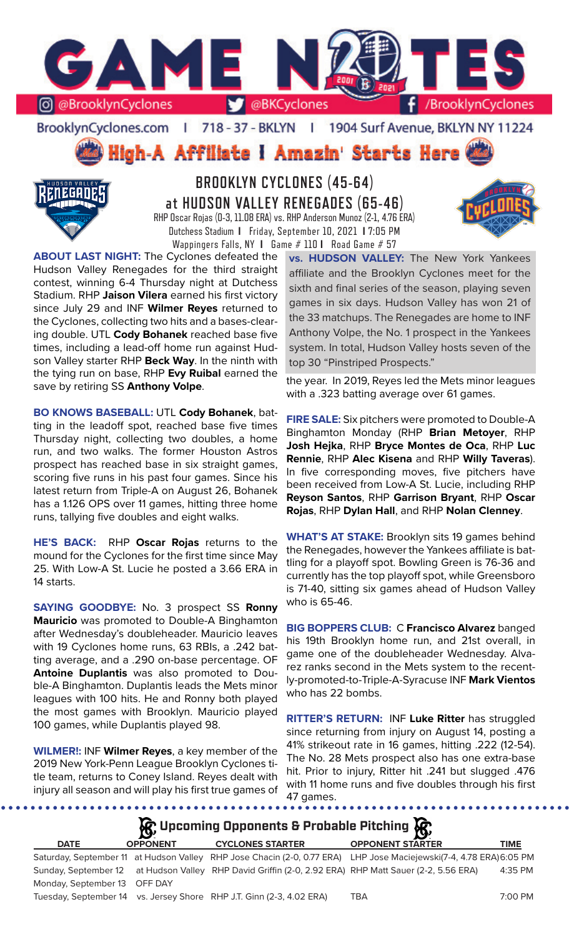

BrooklynCyclones.com | 718 - 37 - BKLYN | 1904 Surf Avenue, BKLYN NY 11224

High-A Affiliate I Amazin' Starts Here



# **BROOKLYN CYCLONES (45-64) at HUDSON VALLEY RENEGADES (65-46)** RHP Oscar Rojas (0-3, 11.08 ERA) vs. RHP Anderson Munoz (2-1, 4.76 ERA) Dutchess Stadium **I** Friday, September 10, 2021 **I** 7:05 PM

Wappingers Falls, NY **I** Game # 110 **I** Road Game # 57



**ABOUT LAST NIGHT:** The Cyclones defeated the Hudson Valley Renegades for the third straight contest, winning 6-4 Thursday night at Dutchess Stadium. RHP **Jaison Vilera** earned his first victory since July 29 and INF **Wilmer Reyes** returned to the Cyclones, collecting two hits and a bases-clearing double. UTL **Cody Bohanek** reached base five times, including a lead-off home run against Hudson Valley starter RHP **Beck Way**. In the ninth with the tying run on base, RHP **Evy Ruibal** earned the save by retiring SS **Anthony Volpe**.

**BO KNOWS BASEBALL:** UTL **Cody Bohanek**, batting in the leadoff spot, reached base five times Thursday night, collecting two doubles, a home run, and two walks. The former Houston Astros prospect has reached base in six straight games, scoring five runs in his past four games. Since his latest return from Triple-A on August 26, Bohanek has a 1.126 OPS over 11 games, hitting three home runs, tallying five doubles and eight walks.

**HE'S BACK:** RHP **Oscar Rojas** returns to the mound for the Cyclones for the first time since May 25. With Low-A St. Lucie he posted a 3.66 ERA in 14 starts.

**SAYING GOODBYE:** No. 3 prospect SS **Ronny Mauricio** was promoted to Double-A Binghamton after Wednesday's doubleheader. Mauricio leaves with 19 Cyclones home runs, 63 RBIs, a .242 batting average, and a .290 on-base percentage. OF **Antoine Duplantis** was also promoted to Double-A Binghamton. Duplantis leads the Mets minor leagues with 100 hits. He and Ronny both played the most games with Brooklyn. Mauricio played 100 games, while Duplantis played 98.

**WILMER!:** INF **Wilmer Reyes**, a key member of the 2019 New York-Penn League Brooklyn Cyclones title team, returns to Coney Island. Reyes dealt with injury all season and will play his first true games of

. . . . . . . .

. . . . . . . . . . . .

**vs. HUDSON VALLEY:** The New York Yankees affiliate and the Brooklyn Cyclones meet for the sixth and final series of the season, playing seven games in six days. Hudson Valley has won 21 of the 33 matchups. The Renegades are home to INF Anthony Volpe, the No. 1 prospect in the Yankees system. In total, Hudson Valley hosts seven of the top 30 "Pinstriped Prospects."

the year. In 2019, Reyes led the Mets minor leagues with a .323 batting average over 61 games.

**FIRE SALE:** Six pitchers were promoted to Double-A Binghamton Monday (RHP **Brian Metoyer**, RHP **Josh Hejka**, RHP **Bryce Montes de Oca**, RHP **Luc Rennie**, RHP **Alec Kisena** and RHP **Willy Taveras**). In five corresponding moves, five pitchers have been received from Low-A St. Lucie, including RHP **Reyson Santos**, RHP **Garrison Bryant**, RHP **Oscar Rojas**, RHP **Dylan Hall**, and RHP **Nolan Clenney**.

**WHAT'S AT STAKE:** Brooklyn sits 19 games behind the Renegades, however the Yankees affiliate is battling for a playoff spot. Bowling Green is 76-36 and currently has the top playoff spot, while Greensboro is 71-40, sitting six games ahead of Hudson Valley who is 65-46.

**BIG BOPPERS CLUB:** C **Francisco Alvarez** banged his 19th Brooklyn home run, and 21st overall, in game one of the doubleheader Wednesday. Alvarez ranks second in the Mets system to the recently-promoted-to-Triple-A-Syracuse INF **Mark Vientos**  who has 22 bombs.

**RITTER'S RETURN:** INF **Luke Ritter** has struggled since returning from injury on August 14, posting a 41% strikeout rate in 16 games, hitting .222 (12-54). The No. 28 Mets prospect also has one extra-base hit. Prior to injury, Ritter hit .241 but slugged .476 with 11 home runs and five doubles through his first 47 games.

.........

# **DATE OPPONENT CYCLONES STARTER OPPONENT STARTER TIME** Saturday, September 11 at Hudson Valley RHP Jose Chacin (2-0, 0.77 ERA) LHP Jose Maciejewski(7-4, 4.78 ERA) 6:05 PM Sunday, September 12 at Hudson Valley RHP David Griffin (2-0, 2.92 ERA) RHP Matt Sauer (2-2, 5.56 ERA) 4:35 PM Monday, September 13 OFF DAY Tuesday, September 14 vs. Jersey Shore RHP J.T. Ginn (2-3, 4.02 ERA) TBA 7:00 PM **Upcoming Opponents & Probable Pitching**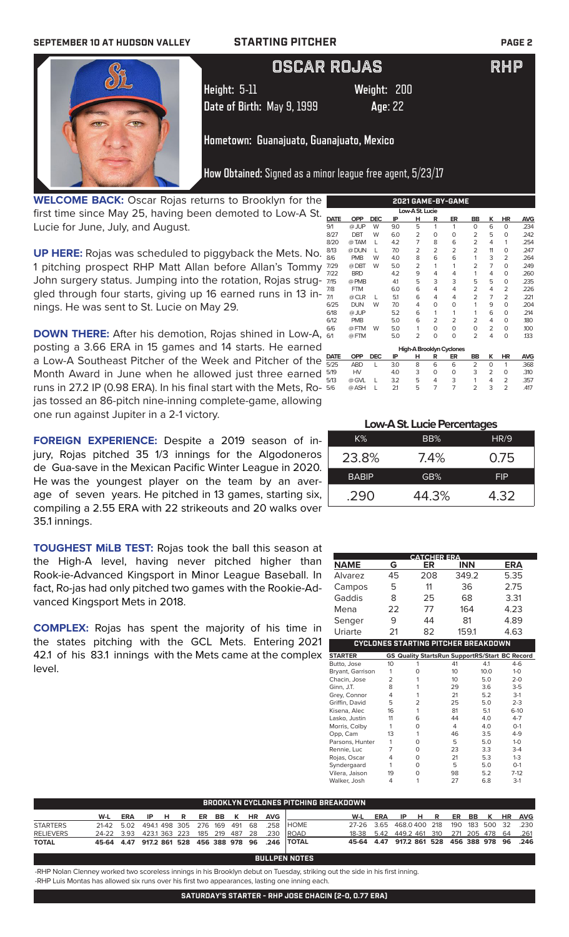### **SEPTEMBER 10 AT HUDSON VALLEY STARTING PITCHER PAGE 2**



# OSCAR ROJAS RHP

**Height:** 5-11 **Weight:** 200 **Date of Birth:** May 9, 1999 **Age**: 22

# **Hometown: Guanajuato, Guanajuato, Mexico**

**How Obtained:** Signed as a minor league free agent, 5/23/17

**WELCOME BACK:** Oscar Rojas returns to Brooklyn for the first time since May 25, having been demoted to Low-A St. Lucie for June, July, and August.

**UP HERE:** Rojas was scheduled to piggyback the Mets. No. 1 pitching prospect RHP Matt Allan before Allan's Tommy 7. John surgery status. Jumping into the rotation, Rojas strug-  $\frac{1}{7}$ gled through four starts, giving up 16 earned runs in 13 innings. He was sent to St. Lucie on May 29.

**DOWN THERE:** After his demotion, Rojas shined in Low-A,  $\frac{d}{d}$ posting a 3.66 ERA in 15 games and 14 starts. He earned a Low-A Southeast Pitcher of the Week and Pitcher of the  $\frac{D}{5}$ Month Award in June when he allowed just three earned  $\frac{5}{6}$ runs in 27.2 IP (0.98 ERA). In his final start with the Mets, Rojas tossed an 86-pitch nine-inning complete-game, allowing one run against Jupiter in a 2-1 victory.

**FOREIGN EXPERIENCE:** Despite a 2019 season of injury, Rojas pitched 35 1/3 innings for the Algodoneros de Gua-save in the Mexican Pacific Winter League in 2020. He was the youngest player on the team by an average of seven years. He pitched in 13 games, starting six, compiling a 2.55 ERA with 22 strikeouts and 20 walks over 35.1 innings.

**TOUGHEST MiLB TEST:** Rojas took the ball this season at the High-A level, having never pitched higher than Rook-ie-Advanced Kingsport in Minor League Baseball. In fact, Ro-jas had only pitched two games with the Rookie-Advanced Kingsport Mets in 2018.

**COMPLEX:** Rojas has spent the majority of his time in the states pitching with the GCL Mets. Entering 2021 42.1 of his 83.1 innings with the Mets came at the complex level.

| <u>EUEI UAME-DI-UAME</u> |                                                 |                 |                        |                       |                  |                        |                                                                 |                                         |                                     |
|--------------------------|-------------------------------------------------|-----------------|------------------------|-----------------------|------------------|------------------------|-----------------------------------------------------------------|-----------------------------------------|-------------------------------------|
| Low-A St. Lucie          |                                                 |                 |                        |                       |                  |                        |                                                                 |                                         |                                     |
| <b>OPP</b>               | <b>DEC</b>                                      | IP              | н                      | R                     | ER               | <b>BB</b>              | ĸ                                                               | HR                                      | AVG                                 |
| @ JUP                    | W                                               | 9.0             | 5                      | 1                     | 1                | $\Omega$               | 6                                                               | $\Omega$                                | .234                                |
| <b>DBT</b>               | W                                               | 6.0             | 2                      | 0                     | 0                | 2                      | 5                                                               | $\mathbf 0$                             | .242                                |
| @TAM                     | L                                               | 4.2             | 7                      | 8                     | 6                | $\overline{2}$         | 4                                                               | 1                                       | .254                                |
| @ DUN                    | L                                               | 7.0             | $\overline{2}$         | $\overline{2}$        | 2                | $\overline{2}$         | 11                                                              | 0                                       | .247                                |
| <b>PMB</b>               | W                                               | 4.0             | 8                      | 6                     | 6                | 1                      | 3                                                               | 2                                       | .264                                |
| @DBT                     | W                                               | 5.0             | 2                      | 1                     | 1                | 2                      |                                                                 | $\Omega$                                | .249                                |
| <b>BRD</b>               |                                                 | 4.2             | 9                      | 4                     | 4                | 1                      | 4                                                               | 0                                       | .260                                |
| @ PMB                    |                                                 | 41              | 5                      | 3                     | 3                | 5                      | 5                                                               | 0                                       | .235                                |
| <b>FTM</b>               |                                                 | 6.0             | 6                      | 4                     | 4                | 2                      | 4                                                               | $\overline{2}$                          | .226                                |
| @ CLR                    | L                                               | 5.1             | 6                      | 4                     | 4                | 2                      | 7                                                               | 2                                       | .221                                |
| <b>DUN</b>               | W                                               | 7.0             | 4                      | 0                     | 0                | 1                      | 9                                                               | $\Omega$                                | .204                                |
| @ JUP                    |                                                 | 5.2             | 6                      | 1                     | 1                | 1                      | 6                                                               | 0                                       | .214                                |
| <b>PMB</b>               |                                                 | 5.0             | 6                      | 2                     | $\overline{2}$   | $\overline{2}$         | 4                                                               | $\Omega$                                | .180                                |
| @FTM                     | W                                               | 5.0             | 1                      | 0                     | $\Omega$         | $\Omega$               | 2                                                               | 0                                       | .100                                |
| @FTM                     |                                                 | 5.0             | 2                      | 0                     | 0                | $\overline{2}$         | 4                                                               | $\mathbf 0$                             | .133                                |
|                          |                                                 |                 |                        |                       |                  |                        |                                                                 |                                         |                                     |
|                          |                                                 |                 |                        |                       |                  |                        |                                                                 |                                         |                                     |
|                          |                                                 |                 |                        |                       |                  |                        |                                                                 |                                         | <b>AVG</b>                          |
|                          |                                                 |                 |                        |                       |                  |                        |                                                                 |                                         | .368                                |
|                          |                                                 |                 |                        |                       |                  |                        |                                                                 |                                         | .310                                |
|                          | L                                               | 3.2             |                        | 4                     |                  |                        |                                                                 |                                         | .357                                |
|                          | L                                               |                 |                        |                       |                  |                        |                                                                 |                                         | .417                                |
|                          | <b>OPP</b><br><b>ABD</b><br>HV<br>@ GVL<br>@ASH | <b>DEC</b><br>L | IP<br>3.0<br>4.0<br>21 | н<br>8<br>3<br>5<br>5 | R<br>6<br>O<br>7 | ER<br>6<br>O<br>3<br>7 | High-A Brooklyn Cyclones<br>BB<br>$\overline{2}$<br>3<br>1<br>2 | $\overline{7}$<br>K<br>0<br>2<br>4<br>3 | HR<br>1<br>0<br>2<br>$\overline{2}$ |

**2021 GAME-BY-GAME**

### **Low-A St. Lucie Percentages**

| K%           | BB%   | HR/9       |
|--------------|-------|------------|
| 23.8%        | 7.4%  | 0.75       |
| <b>BABIP</b> | GB%   | <b>FIP</b> |
| .290         | 44.3% | 4.32       |

|                  |                | <b>CATCHER ERA</b>                                    |                 |      |            |
|------------------|----------------|-------------------------------------------------------|-----------------|------|------------|
| <b>NAME</b>      | G              | ER                                                    | <b>INN</b>      |      | <b>ERA</b> |
| Alvarez          | 45             | 208                                                   | 349.2           |      | 5.35       |
| Campos           | 5              | 11                                                    | 36              |      | 2.75       |
| Gaddis           | 8              | 25                                                    | 68              |      | 3.31       |
| Mena             | 22             | 77                                                    | 164             |      | 4.23       |
| Senger           | 9              | 44                                                    | 81              |      | 4.89       |
| Uriarte          | 21             | 82                                                    | 159.1           |      | 4.63       |
|                  |                | CYCLONES STARTING PITCHER BREAKDOWN                   |                 |      |            |
| <b>STARTER</b>   |                | <b>GS Quality StartsRun SupportRS/Start BC Record</b> |                 |      |            |
| Butto, Jose      | 10             | 1                                                     | 41              | 4.1  | $4-6$      |
| Bryant, Garrison | 1              | $\Omega$                                              | 10              | 10.0 | $1 - 0$    |
| Chacin, Jose     | $\overline{2}$ | 1                                                     | 10 <sup>2</sup> | 5.0  | $2-0$      |
| Ginn, J.T.       | 8              | 1                                                     | 29              | 3.6  | $3 - 5$    |
| Grey, Connor     | 4              | 1                                                     | 21              | 5.2  | $3-1$      |
| Griffin, David   | 5              | $\overline{2}$                                        | 25              | 5.0  | $2 - 3$    |
| Kisena, Alec     | 16             | 1                                                     | 81              | 5.1  | $6-10$     |
| Lasko, Justin    | 11             | 6                                                     | 44              | 4.0  | $4 - 7$    |
| Morris, Colby    | 1              | $\Omega$                                              | $\overline{4}$  | 4.0  | $O-1$      |
| Opp, Cam         | 13             | 1                                                     | 46              | 3.5  | $4-9$      |
| Parsons, Hunter  | 1              | 0                                                     | 5               | 5.0  | $1 - 0$    |
| Rennie, Luc      | 7              | 0                                                     | 23              | 3.3  | $3-4$      |
| Rojas, Oscar     | 4              | $\Omega$                                              | 21              | 5.3  | $1-3$      |
| Syndergaard      | 1              | $\Omega$                                              | 5               | 5.0  | $O-1$      |
| Vilera, Jaison   | 19             | 0                                                     | 98              | 5.2  | $7-12$     |
| Walker, Josh     | 4              | 1                                                     | 27              | 6.8  | $3-1$      |
|                  |                |                                                       |                 |      |            |

| BROOKLYN CYCLONES PITCHING BREAKDOWN |                                                   |  |  |  |  |  |  |  |  |                               |                                                    |                                              |  |  |  |  |  |
|--------------------------------------|---------------------------------------------------|--|--|--|--|--|--|--|--|-------------------------------|----------------------------------------------------|----------------------------------------------|--|--|--|--|--|
|                                      |                                                   |  |  |  |  |  |  |  |  | W-L ERA IP H R ER BB K HR AVG |                                                    | W-L ERA IP H R ER BB K HR AVG                |  |  |  |  |  |
| <b>STARTERS</b>                      |                                                   |  |  |  |  |  |  |  |  |                               | 21-42 5.02 494.1 498 305 276 169 491 68 .258 HOME  | 27-26 3.65 468.0400 218 190 183 500 32 .230  |  |  |  |  |  |
| <b>RELIEVERS</b>                     | 24-22 3.93 423.1 363 223 185 219 487 28 .230 ROAD |  |  |  |  |  |  |  |  |                               |                                                    | 18-38 5.42 449.2 461 310 271 205 478 64 .261 |  |  |  |  |  |
| <b>TOTAL</b>                         |                                                   |  |  |  |  |  |  |  |  |                               | 45-64 4.47 917.2 861 528 456 388 978 96 .246 TOTAL | 45-64 4.47 917.2 861 528 456 388 978 96 .246 |  |  |  |  |  |

### **BULLPEN NOTES**

-RHP Nolan Clenney worked two scoreless innings in his Brooklyn debut on Tuesday, striking out the side in his first inning. -RHP Luis Montas has allowed six runs over his first two appearances, lasting one inning each.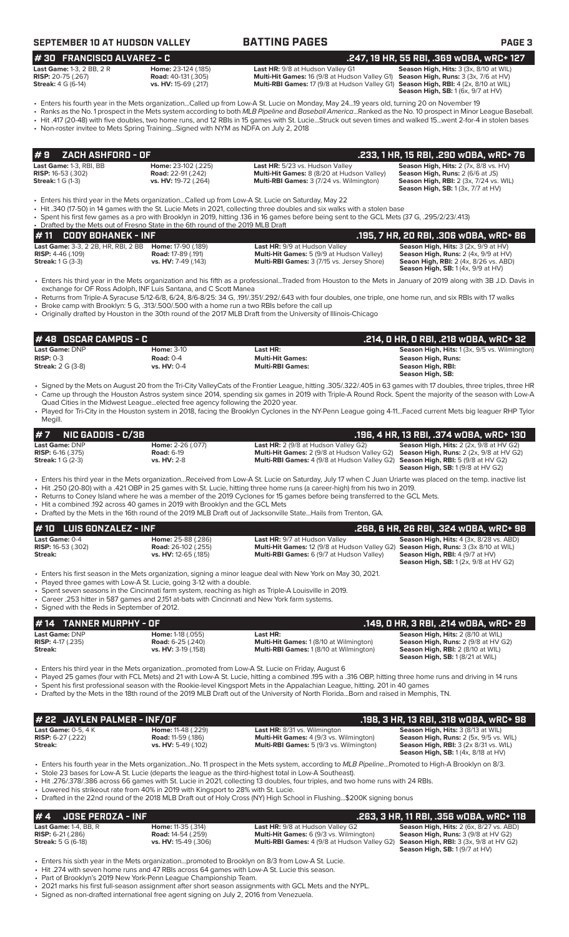| SEPTEMBER 10 AT HUDSON VALLE' |  |  |
|-------------------------------|--|--|
|-------------------------------|--|--|

### **SEPTEMBER 10 AT TIME PAGES PAGE 3**

**# 30 FRANCISCO ALVAREZ - C .247, 19 HR, 55 RBI, .369 wOBA, wRC+ 127**

| <b>Last Game:</b> 1-3, 2 BB, 2 R | Home   |
|----------------------------------|--------|
| <b>RISP:</b> 20-75 (.267)        | Road:  |
| <b>Streak:</b> 4 G (6-14)        | vs. Hy |

**Last Game:** 1-3, 2 BB, 2 R **Home:** 23-124 (.185) **Last HR:** 9/8 at Hudson Valley G1 **Season High, Hits:** 3 (3x, 8/10 at WIL) **RISP:** 20-75 (.267) **Road:** 40-131 (.305) **Multi-Hit Games:** 16 (9/8 at Hudson Valley G1) **Season High, Runs:** 3 (3x, 7/6 at HV) **Multi-RBI Games:** 17 (9/8 at Hudson Valley G1)

**Season High, RBI:** 4 (2x, 8/10 at WIL)<br>**Season High, SB:** 1 (6x, 9/7 at HV)

• Enters his fourth year in the Mets organization...Called up from Low-A St. Lucie on Monday, May 24...19 years old, turning 20 on November 19 • Ranks as the No. 1 prospect in the Mets system according to both *MLB Pipeline* and *Baseball America*...Ranked as the No. 10 prospect in Minor League Baseball.

• Hit .417 (20-48) with five doubles, two home runs, and 12 RBIs in 15 games with St. Lucie...Struck out seven times and walked 15...went 2-for-4 in stolen bases

• Non-roster invitee to Mets Spring Training...Signed with NYM as NDFA on July 2, 2018

| #9    ZACH ASHFORD - OF   |                           |                                                   | .233, 1 HR, 15 RBI, .290 wOBA, wRC+ 76                  |
|---------------------------|---------------------------|---------------------------------------------------|---------------------------------------------------------|
| Last Game: 1-3. RBI. BB   | Home: 23-102 (.225)       | Last HR: 5/23 vs. Hudson Valley                   | <b>Season High, Hits:</b> $2$ ( $7x$ , $8/8$ vs. $HV$ ) |
| <b>RISP:</b> 16-53 (.302) | <b>Road:</b> 22-91 (.242) | <b>Multi-Hit Games:</b> 8 (8/20 at Hudson Valley) | <b>Season High, Runs: 2 (6/6 at JS)</b>                 |
| <b>Streak: 1 G (1-3)</b>  | vs. HV: 19-72 (.264)      | <b>Multi-RBI Games: 3 (7/24 vs. Wilmington)</b>   | <b>Season High, RBI:</b> 2 (3x, 7/24 vs. WIL)           |
|                           |                           |                                                   | <b>Season High, SB: 1 (3x, 7/7 at HV)</b>               |

• Enters his third year in the Mets organization...Called up from Low-A St. Lucie on Saturday, May 22

• Hit .340 (17-50) in 14 games with the St. Lucie Mets in 2021, collecting three doubles and six walks with a stolen base

• Spent his first few games as a pro with Brooklyn in 2019, hitting .136 in 16 games before being sent to the GCL Mets (37 G, .295/2/23/.413)

| • Drafted by the Mets out of Fresno State in the 6th round of the 2019 MLB Draft                     |                                                                        |                                                                                                                                               |                                                                                                                                                                                                     |  |  |  |
|------------------------------------------------------------------------------------------------------|------------------------------------------------------------------------|-----------------------------------------------------------------------------------------------------------------------------------------------|-----------------------------------------------------------------------------------------------------------------------------------------------------------------------------------------------------|--|--|--|
| $#11$ CODY BOHANEK - INF                                                                             |                                                                        |                                                                                                                                               | .195. 7 HR. 20 RBI. .306 wOBA. wRC+ 86                                                                                                                                                              |  |  |  |
| <b>Last Game:</b> 3-3, 2 2B, HR, RBI, 2 BB<br><b>RISP:</b> $4-46$ (.109)<br><b>Streak: 1 G (3-3)</b> | Home: 17-90 (.189)<br><b>Road:</b> 17-89 (.191)<br>vs. HV: 7-49 (.143) | <b>Last HR: 9/9 at Hudson Valley</b><br><b>Multi-Hit Games:</b> 5 (9/9 at Hudson Valley)<br><b>Multi-RBI Games: 3 (7/15 vs. Jersey Shore)</b> | <b>Season High, Hits:</b> $3$ (2x, $9/9$ at HV)<br><b>Season High, Runs:</b> $2$ (4x, $9/9$ at HV)<br><b>Seaon High, RBI:</b> 2 (4x, 8/26 vs. ABD)<br><b>Season High, SB:</b> $1(4x, 9/9$ at $HV$ ) |  |  |  |

• Enters his third year in the Mets organization and his fifth as a professional...Traded from Houston to the Mets in January of 2019 along with 3B J.D. Davis in exchange for OF Ross Adolph, INF Luis Santana, and C Scott Manea

• Returns from Triple-A Syracuse 5/12-6/8, 6/24, 8/6-8/25: 34 G, .191/.351/.292/.643 with four doubles, one triple, one home run, and six RBIs with 17 walks • Broke camp with Brooklyn: 5 G, .313/.500/.500 with a home run a two RBIs before the call up

• Originally drafted by Houston in the 30th round of the 2017 MLB Draft from the University of Illinois-Chicago

| 1# 48   OSCAR CAMPOS - C   |                   |                         | .214, 0 HR, 0 RBI, .218 w0BA, wRC+ 32               |
|----------------------------|-------------------|-------------------------|-----------------------------------------------------|
| <b>Last Game: DNP</b>      | <b>Home: 3-10</b> | Last HR:                | <b>Season High, Hits:</b> 1(3x, 9/5 vs. Wilmington) |
| $RISP: 0-3$                | Road: $0-4$       | <b>Multi-Hit Games:</b> | Season High, Runs:                                  |
| <b>Streak:</b> $2 G (3-8)$ | $vs. HV: 0-4$     | <b>Multi-RBI Games:</b> | Season High, RBI:                                   |
|                            |                   |                         | Season High, SB:                                    |

• Signed by the Mets on August 20 from the Tri-City ValleyCats of the Frontier League, hitting .305/.322/.405 in 63 games with 17 doubles, three triples, three HR • Came up through the Houston Astros system since 2014, spending six games in 2019 with Triple-A Round Rock. Spent the majority of the season with Low-A Quad Cities in the Midwest League...elected free agency following the 2020 year.

• Played for Tri-City in the Houston system in 2018, facing the Brooklyn Cyclones in the NY-Penn League going 4-11...Faced current Mets big leaguer RHP Tylor Megill.

| $# 7$ NIC GADDIS - $C/3B$                           |                                               |                                                                                                                                      | .196. 4 HR. 13 RBI. .374 WOBA. WRC+ 130                     |
|-----------------------------------------------------|-----------------------------------------------|--------------------------------------------------------------------------------------------------------------------------------------|-------------------------------------------------------------|
| <b>Last Game: DNP</b><br><b>RISP:</b> $6-16$ (.375) | <b>Home: 2-26 (.077)</b><br><b>Road: 6-19</b> | <b>Last HR:</b> $2(9/8$ at Hudson Valley G2)<br>Multi-Hit Games: 2 (9/8 at Hudson Valley G2) Season High, Runs: 2 (2x, 9/8 at HV G2) | <b>Season High, Hits:</b> $2$ ( $2x$ , $9/8$ at $HV$ $G2$ ) |
| <b>Streak:</b> $1 G (2-3)$                          | <b>vs. HV: 2-8</b>                            | <b>Multi-RBI Games:</b> 4 (9/8 at Hudson Valley G2) <b>Season High, RBI:</b> 5 (9/8 at HV G2)                                        | <b>Season High, SB:</b> $1(9/8$ at HV G2)                   |

• Enters his third year in the Mets organization...Received from Low-A St. Lucie on Saturday, July 17 when C Juan Uriarte was placed on the temp. inactive list

- Hit .250 (20-80) with a .421 OBP in 25 games with St. Lucie, hitting three home runs (a career-high) from his two in 2019. Returns to Coney Island where he was a member of the 2019 Cyclones for 15 games before being transferred to the GCL Mets.
- Hit a combined .192 across 40 games in 2019 with Brooklyn and the GCL Mets
- Drafted by the Mets in the 16th round of the 2019 MLB Draft out of Jacksonville State...Hails from Trenton, GA.

| $# 10$ LUIS GONZALEZ - INF                             |                                                                                |                                                                                                                                                                                 | .268. 6 HR. 26 RBI. .324 WOBA. WRC+ 98                                                                                                      |
|--------------------------------------------------------|--------------------------------------------------------------------------------|---------------------------------------------------------------------------------------------------------------------------------------------------------------------------------|---------------------------------------------------------------------------------------------------------------------------------------------|
| Last Game: 0-4<br><b>RISP:</b> 16-53 (.302)<br>Streak: | Home: 25-88 (.286)<br><b>Road:</b> 26-102 (.255)<br>vs. HV: 12-65 (.185)       | <b>Last HR: 9/7 at Hudson Valley</b><br>Multi-Hit Games: 12 (9/8 at Hudson Valley G2) Season High, Runs: 3 (3x 8/10 at WIL)<br><b>Multi-RBI Games:</b> 6 (9/7 at Hudson Valley) | <b>Season High, Hits: 4 (3x, 8/28 vs. ABD)</b><br><b>Season High, RBI:</b> $4(9/7$ at $HV$ )<br><b>Season High, SB:</b> 1(2x, 9/8 at HV G2) |
|                                                        | $\blacksquare$ Dlaugd throp games with Low A St Lucio going 2.12 with a double | • Enters his first season in the Mets organization, signing a minor league deal with New York on May 30, 2021.                                                                  |                                                                                                                                             |

• Played three games with Low-A St. Lucie, going 3-12 with a double.

- Spent seven seasons in the Cincinnati farm system, reaching as high as Triple-A Louisville in 2019.
- Career .253 hitter in 587 games and 2,151 at-bats with Cincinnati and New York farm systems.

• Signed with the Reds in September of 2012.

**Last Game: DNP Home: 1-18 (.055) Last HR: 
<b>Last Game:** 1 (8/10 at WIL) **Season High, Hits:** 2 (8/10 at WIL) **RISP:** 4-17 (.235) **Road: 6-25 (.240) Home: 1 (8/10 at Wilmington) Season High, Runs: 2 (9/8 at HV ( RISP:** 4-17 (.235) **Road:** 6-25 (.240) **Multi-Hit Games:** 1 (8/10 at Wilmington) **Season High, Runs:** 2 (9/8 at HV G2) **Multi-RBI Games:** 1 (8/10 at Wilmington) **Season High, RBI:** 2 (8/10 at WIL)<br>**Season High, RBI:** 2 (8/10 at WIL)<br>**Season High, SB:** 1 (8/21 at WIL) **# 14 TANNER MURPHY - OF .149, 0 HR, 3 RBI, .214 wOBA, wRC+ 29**

• Enters his third year in the Mets organization...promoted from Low-A St. Lucie on Friday, August 6

• Played 25 games (four with FCL Mets) and 21 with Low-A St. Lucie, hitting a combined .195 with a .316 OBP, hitting three home runs and driving in 14 runs

• Spent his first professional season with the Rookie-level Kingsport Mets in the Appalachian League, hitting. 201 in 40 games

• Drafted by the Mets in the 18th round of the 2019 MLB Draft out of the University of North Florida...Born and raised in Memphis, TN.

| # 22 JAYLEN PALMER - INF/OF                         |                            |                                                | .198, 3 HR, 13 RBI, .318 WOBA, WRC+ 98                  |
|-----------------------------------------------------|----------------------------|------------------------------------------------|---------------------------------------------------------|
| <b>Last Game: <math>0-5</math>. <math>4K</math></b> | <b>Home:</b> 11-48 (.229)  | <b>Last HR:</b> 8/31 vs. Wilmington            | <b>Season High, Hits: 3 (8/13 at WIL)</b>               |
| <b>RISP:</b> $6-27$ (.222)                          | <b>Road:</b> 11-59 (.186)  | <b>Multi-Hit Games:</b> 4 (9/3 vs. Wilmington) | <b>Season High, Runs:</b> 2 (5x, 9/5 vs. WIL)           |
| Streak:                                             | <b>vs. HV:</b> 5-49 (.102) | <b>Multi-RBI Games:</b> 5 (9/3 vs. Wilmington) | <b>Season High, RBI:</b> $3$ ( $2 \times 8/31$ vs. WIL) |
|                                                     |                            |                                                | <b>Season High, SB: 1 (4x, 8/18 at HV)</b>              |

• Enters his fourth year in the Mets organization...No. 11 prospect in the Mets system, according to *MLB Pipeline*...Promoted to High-A Brooklyn on 8/3.

• Stole 23 bases for Low-A St. Lucie (departs the league as the third-highest total in Low-A Southeast). • Hit .276/.378/.386 across 66 games with St. Lucie in 2021, collecting 13 doubles, four triples, and two home runs with 24 RBIs.

Lowered his strikeout rate from 40% in 2019 with Kingsport to 28% with St. Lucie.

• Drafted in the 22nd round of the 2018 MLB Draft out of Holy Cross (NY) High School in Flushing...\$200K signing bonus

|                            | $# 4$ JOSE PEROZA - INF  |                             |                                                                                                   | .263, 3 HR, 11 RBI, .356 wOBA, wRC+ 118        |
|----------------------------|--------------------------|-----------------------------|---------------------------------------------------------------------------------------------------|------------------------------------------------|
|                            | Last Game: $1-4$ . BB. R | <b>Home: 11-35 (.314)</b>   | <b>Last HR:</b> 9/8 at Hudson Valley G2                                                           | <b>Season High, Hits: 2 (6x, 8/27 vs. ABD)</b> |
| <b>RISP:</b> $6-21$ (.286) |                          | <b>Road:</b> 14-54 (.259)   | <b>Multi-Hit Games:</b> 6 (9/3 vs. Wilmington)                                                    | <b>Season High, Runs: 3 (9/8 at HV G2)</b>     |
| <b>Streak:</b> 5 G (6-18)  |                          | <b>vs. HV:</b> 15-49 (.306) | <b>Multi-RBI Games:</b> 4 (9/8 at Hudson Valley G2) <b>Season High, RBI:</b> 3 (3x, 9/8 at HV G2) |                                                |
|                            |                          |                             |                                                                                                   | <b>Season High, SB: 1(9/7 at HV)</b>           |

**Season High, SB:** 1 (9/7 at HV)

Enters his sixth year in the Mets organization...promoted to Brooklyn on 8/3 from Low-A St. Lucie.

• Hit .274 with seven home runs and 47 RBIs across 64 games with Low-A St. Lucie this season.

Part of Brooklyn's 2019 New York-Penn League Championship Team.

• 2021 marks his first full-season assignment after short season assignments with GCL Mets and the NYPL.

• Signed as non-drafted international free agent signing on July 2, 2016 from Venezuela.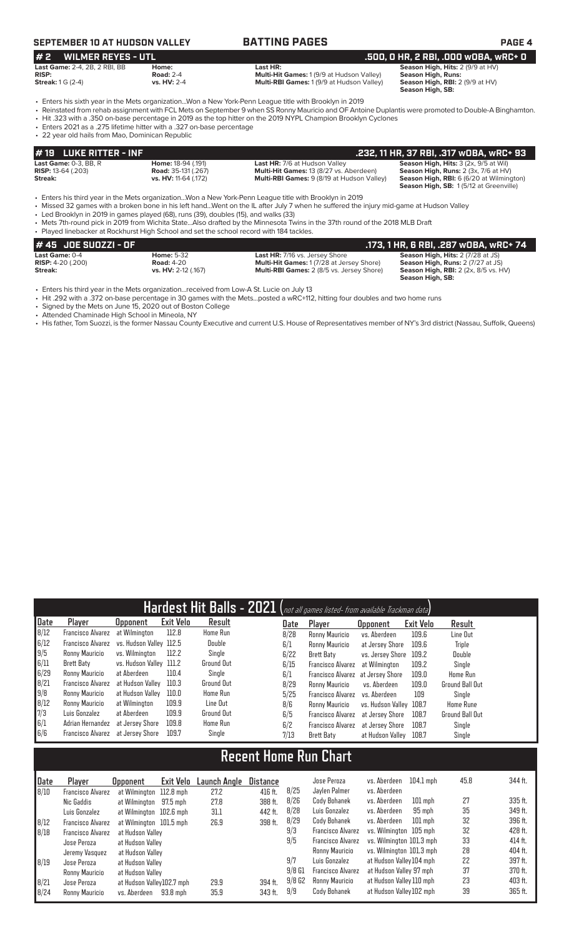# **SEPTEMBER 10 AT HUDSON VALLEY BATTING PAGES PAGE 4**

# **# 2 WILMER REYES - UTL .500, 0 HR, 2 RBI, .000 wOBA, wRC+ 0**

**Last Game:** 2-4, 2B, 2 RBI, BB **Home: Home: Last HR: Last HR: Season High, Hits:** 2 (9/9 at HV)<br>**RISP: Righter and:** 2-4 **Road:** 2-4 **Multi-Hit Games:** 1 (9/9 at Hudson Valley) **Season High, Runs: RISP:** Road: 2-4 **RISP:** Road: 2-4 **RISP:** Research Multi-Hit Games: 1 (9/9 at Hudson Valley) **Streak:** 1 G (2-4 **RISP: NISP: Streak: 1** G (2-4 **RISP: RIGH) Streak: 1** G (2-4 **RIGH) Streak: 1** G (2-4 **RIGH) St Multi-RBI Games:** 1 (9/9 at Hudson Valley)

Season High, RBI: 2 (9/9 at HV)<br>Season High, SB:

• Enters his sixth year in the Mets organization...Won a New York-Penn League title with Brooklyn in 2019

- Reinstated from rehab assignment with FCL Mets on September 9 when SS Ronny Mauricio and OF Antoine Duplantis were promoted to Double-A Binghamton.
- Hit .323 with a .350 on-base percentage in 2019 as the top hitter on the 2019 NYPL Champion Brooklyn Cyclones
- Enters 2021 as a .275 lifetime hitter with a .327 on-base percentage • 22 year old hails from Mao, Dominican Republic

| $# 19$ LUKE RITTER - INF  |                             |                                                   | .232, 11 HR, 37 RBI, .317 WOBA, WRC+ 93                |
|---------------------------|-----------------------------|---------------------------------------------------|--------------------------------------------------------|
| Last Game: $0-3$ , BB, R  | Home: 18-94 (.191)          | <b>Last HR: 7/6 at Hudson Valley</b>              | <b>Season High, Hits: 3 (2x, 9/5 at Wil)</b>           |
| <b>RISP:</b> 13-64 (.203) | <b>Road:</b> 35-131 (.267)  | <b>Multi-Hit Games: 13 (8/27 vs. Aberdeen)</b>    | <b>Season High, Runs:</b> $2$ ( $3x$ , $7/6$ at $HV$ ) |
| Streak:                   | <b>vs. HV:</b> 11-64 (.172) | <b>Multi-RBI Games: 9 (8/19 at Hudson Valley)</b> | <b>Season High, RBI:</b> 6 (6/20 at Wilmington)        |
|                           |                             |                                                   | <b>Season High, SB: 1(5/12 at Greenville)</b>          |

• Enters his third year in the Mets organization...Won a New York-Penn League title with Brooklyn in 2019<br>• Missed 32 games with a broken bone in his left hand...Went on the IL after July 7 when he suffered the

• Missed 32 games with a broken bone in his left hand...Went on the IL after July 7 when he suffered the injury mid-game at Hudson Valley

• Led Brooklyn in 2019 in games played (68), runs (39), doubles (15), and walks (33)

• Mets 7th-round pick in 2019 from Wichita State...Also drafted by the Minnesota Twins in the 37th round of the 2018 MLB Draft • Played linebacker at Rockhurst High School and set the school record with 184 tackles.

| # 45 JOE SUOZZI - OF       |                     |                                                  | .173. 1 HR. 6 RBI. .287 wOBA. wRC+ 74       |
|----------------------------|---------------------|--------------------------------------------------|---------------------------------------------|
| <b>Last Game: 0-4</b>      | <b>Home: 5-32</b>   | <b>Last HR: 7/16 vs. Jersey Shore</b>            | <b>Season High, Hits: 2 (7/28 at JS)</b>    |
| <b>RISP:</b> $4-20$ (.200) | <b>Road: 4-20</b>   | <b>Multi-Hit Games: 1(7/28 at Jersey Shore)</b>  | <b>Season High, Runs: 2 (7/27 at JS)</b>    |
| Streak:                    | vs. HV: 2-12 (.167) | <b>Multi-RBI Games: 2 (8/5 vs. Jersey Shore)</b> | <b>Season High, RBI:</b> 2 (2x, 8/5 vs. HV) |
|                            |                     |                                                  | Season High, SB:                            |

• Enters his third year in the Mets organization...received from Low-A St. Lucie on July 13

• Hit .292 with a .372 on-base percentage in 30 games with the Mets...posted a wRC+112, hitting four doubles and two home runs

• Signed by the Mets on June 15, 2020 out of Boston College

• Attended Chaminade High School in Mineola, NY

• His father, Tom Suozzi, is the former Nassau County Executive and current U.S. House of Representatives member of NY's 3rd district (Nassau, Suffolk, Queens)

| Hardest Hit Balls - 2021 (not all games listed- from available Trackman data) |                          |                         |                  |                   |      |                          |                   |           |                        |  |  |
|-------------------------------------------------------------------------------|--------------------------|-------------------------|------------------|-------------------|------|--------------------------|-------------------|-----------|------------------------|--|--|
| Date                                                                          | Player                   | <b>Upponent</b>         | <b>Exit Velo</b> | Result            | Date | Player                   | <b>Opponent</b>   | Exit Velo | Result                 |  |  |
| 8/12                                                                          | <b>Francisco Alvarez</b> | at Wilmington           | 112.8            | Home Run          | 8/28 | Ronny Mauricio           | vs. Aberdeen      | 109.6     | Line Out               |  |  |
| 6/12                                                                          | Francisco Alvarez        | vs. Hudson Valley 112.5 |                  | Double            | 6/1  | Ronny Mauricio           | at Jersey Shore   | 109.6     | Triple                 |  |  |
| 9/5                                                                           | Ronny Mauricio           | vs. Wilminaton          | 112.2            | Single            | 6/22 | <b>Brett Baty</b>        | vs. Jersey Shore  | 109.2     | Double                 |  |  |
| 6/11                                                                          | Brett Baty               | vs. Hudson Valley 111.2 |                  | Ground Out        | 6/15 | <b>Francisco Alvarez</b> | at Wilmington     | 109.2     | Single                 |  |  |
| 6/29                                                                          | Ronny Mauricio           | at Aberdeen             | 110.4            | Single            | 6/1  | <b>Francisco Alvarez</b> | at Jersev Shore   | 109.0     | <b>Home Run</b>        |  |  |
| 8/21                                                                          | Francisco Alvarez        | at Hudson Vallev        | 110.3            | <b>Ground Out</b> | 8/29 | Ronny Mauricio           | vs. Aberdeen      | 109.0     | Ground Ball Out        |  |  |
| 9/8                                                                           | Ronny Mauricio           | at Hudson Vallev        | 110.0            | Home Run          | 5/25 | <b>Francisco Alvarez</b> | vs. Aberdeen      | 109       | Single                 |  |  |
| 8/12                                                                          | Ronny Mauricio           | at Wilmington           | 109.9            | Line Out          | 8/6  | Ronny Mauricio           | vs. Hudson Vallev | 108.7     | <b>Home Rune</b>       |  |  |
| 7/3                                                                           | Luis Gonzalez            | at Aberdeen             | 109.9            | Ground Out        | 6/5  | <b>Francisco Alvarez</b> | at Jersev Shore   | 108.7     | <b>Ground Ball Out</b> |  |  |
| 6/1                                                                           | Adrian Hernandez         | at Jersev Shore         | 109.8            | Home Run          | 6/2  | <b>Francisco Alvarez</b> | at Jersey Shore   | 108.7     | Single                 |  |  |
| 6/6                                                                           | Francisco Alvarez        | at Jersev Shore         | 109.7            | Single            | 7/13 | <b>Brett Baty</b>        | at Hudson Valley  | 108.7     | Single                 |  |  |

# **Recent Home Run Chart**

| Date | Player                   | <b>Opponent</b>           | Exit Velo | Launch Angle | Distance |          | Jose Peroza              | vs. Aberdeen             | $104.1$ mph | 45.8 | 344 ft.   |
|------|--------------------------|---------------------------|-----------|--------------|----------|----------|--------------------------|--------------------------|-------------|------|-----------|
| 8/10 | Francisco Alvarez        | at Wilmington 112.8 mph   |           | 27.2         | 416 ft.  | 8/25     | Jaylen Palmer            | vs. Aberdeen             |             |      |           |
|      | Nic Gaddis               | at Wilmington             | 97.5 mph  | 27.8         | 388 ft.  | 8/26     | Cody Bohanek             | vs. Aberdeen             | $101$ mph   | 27   | $335$ ft. |
|      | Luis Gonzalez            | at Wilmington 102.6 mph   |           | 31.1         | 442 ft.  | 8/28     | Luis Gonzalez            | vs. Aberdeen             | 95 mph      | 35   | 349 ft.   |
| 8/12 | Francisco Alvarez        | at Wilmington 101.5 mph   |           | 26.9         | 398 ft.  | 8/29     | Cody Bohanek             | vs. Aberdeen             | $101$ mph   | 32   | 396 ft.   |
| 8/18 | <b>Francisco Alvarez</b> | at Hudson Valley          |           |              |          | 9/3      | <b>Francisco Alvarez</b> | vs. Wilmington 105 mph   |             | 32   | 428 ft.   |
|      | Jose Peroza              | at Hudson Valley          |           |              |          | 9/5      | <b>Francisco Alvarez</b> | vs. Wilmington 101.3 mph |             | 33   | 414 ft.   |
|      | Jeremy Vasquez           | at Hudson Vallev          |           |              |          |          | Ronny Mauricio           | vs. Wilmington 101.3 mph |             | 28   | 404 ft.   |
| 8/19 | Jose Peroza              | at Hudson Valley          |           |              |          | 9/7      | Luis Gonzalez            | at Hudson Valley 104 mph |             | 22   | 397 ft.   |
|      | Ronny Mauricio           | at Hudson Valley          |           |              |          | $9/8$ G1 | <b>Francisco Alvarez</b> | at Hudson Valley 97 mph  |             | 37   | 370 ft.   |
| 8/21 | Jose Peroza              | at Hudson Valley102.7 mph |           | 29.9         | 394 ft.  | 9/8G2    | Ronny Mauricio           | at Hudson Valley 110 mph |             | 23   | 403 ft.   |
| B/24 | Ronny Mauricio           | vs. Aberdeen              | 93.8 mph  | 35.9         | 343 ft.  | 9/9      | Cody Bohanek             | at Hudson Valley 102 mph |             | 39   | 365 ft.   |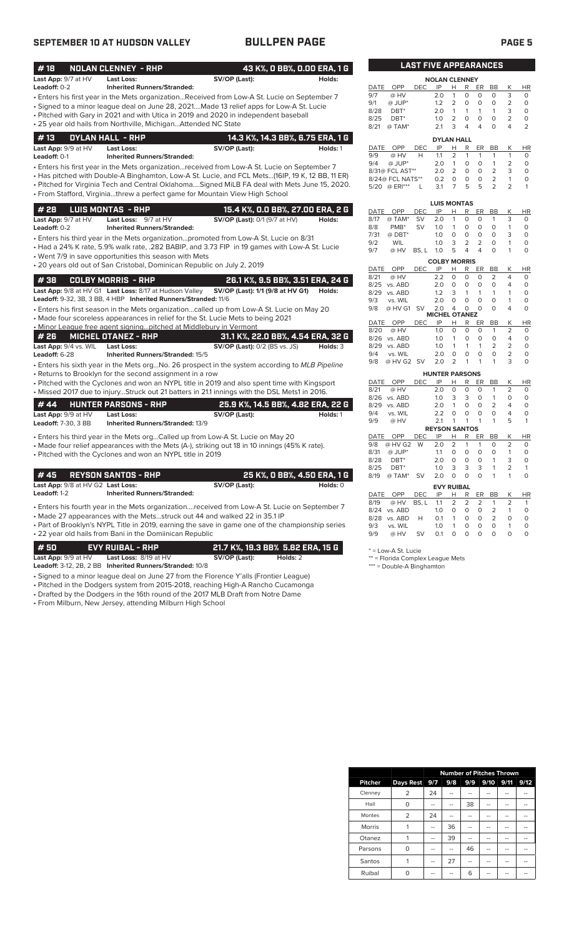## **SEPTEMBER 10 AT HUDSON VALLEY BULLPEN PAGE PAGE 5**

| #18                   | <b>NOLAN CLENNEY - RHP</b>                                              |                                                                                                 | 43 K%, O BB%, O.OO ERA, 1 G |              |                    | <b>LAST FIVE APPEARANCES</b> |                       |                |                                  |                                  |                         |                                |                         |
|-----------------------|-------------------------------------------------------------------------|-------------------------------------------------------------------------------------------------|-----------------------------|--------------|--------------------|------------------------------|-----------------------|----------------|----------------------------------|----------------------------------|-------------------------|--------------------------------|-------------------------|
| Last App: 9/7 at HV   | <b>Last Loss:</b>                                                       | SV/OP (Last):                                                                                   | Holds:                      |              |                    |                              | <b>NOLAN CLENNEY</b>  |                |                                  |                                  |                         |                                |                         |
| Leadoff: 0-2          | <b>Inherited Runners/Stranded:</b>                                      |                                                                                                 |                             | DATE         | OPP                | <b>DEC</b>                   | IP                    | H.             | R                                | ER                               | BB                      | К                              | HI                      |
|                       |                                                                         | Enters his first year in the Mets organizationReceived from Low-A St. Lucie on September 7 •    |                             | 9/7          | @ HV               |                              | 2.0                   | $\mathbf{1}$   | 0                                | 0                                | $\Omega$                | 3                              | $\mathbf 0$             |
|                       |                                                                         | • Signed to a minor league deal on June 28, 2021Made 13 relief apps for Low-A St. Lucie         |                             | 9/1          | @ JUP*             |                              | 1.2                   | $\overline{2}$ | $\mathsf{O}$                     | $\circ$                          | $\mathbf 0$             | $\overline{2}$                 | $\circ$                 |
|                       |                                                                         | • Pitched with Gary in 2021 and with Utica in 2019 and 2020 in independent baseball             |                             | 8/28         | $DBT^*$            |                              | 2.0                   | $\mathbf{1}$   | $\mathbf{1}$                     | $\mathbf{1}$                     | 1                       | 3                              | $\Omega$                |
|                       | • 25 year old hails from Northville, MichiganAttended NC State          |                                                                                                 |                             | 8/25         | $DBT^*$            |                              | 1.0                   | $\overline{2}$ | $\mathbf 0$                      | $\circ$                          | $\circ$                 | $\overline{2}$                 | $\circ$                 |
|                       |                                                                         |                                                                                                 |                             | 8/21         | @ TAM*             |                              | 2.1                   | 3              | 4                                | 4                                | $\Omega$                | 4                              | $\overline{2}$          |
| #13                   | <b>DYLAN HALL - RHP</b>                                                 | 14.3 K%, 14.3 BB%, 6.75 ERA, 1 G                                                                |                             |              |                    |                              | <b>DYLAN HALL</b>     |                |                                  |                                  |                         |                                |                         |
| Last App: 9/9 at HV   | <b>Last Loss:</b>                                                       | SV/OP (Last):                                                                                   | Holds: 1                    | DATE         | <b>OPP</b>         | <b>DEC</b>                   | IP                    | н              | R                                | ER                               | BB                      | K                              | H                       |
| Leadoff: 0-1          | <b>Inherited Runners/Stranded:</b>                                      |                                                                                                 |                             | 9/9          | @ HV               | H                            | 1.1                   | $\overline{2}$ | $\mathbf{1}$                     | $\mathbf{1}$                     | $\mathbf{1}$            | $\mathbf{1}$                   | $\circ$                 |
|                       |                                                                         | Enters his first year in the Mets organizationreceived from Low-A St. Lucie on September 7      |                             | 9/4          | $@$ JUP*           |                              | 2.0                   | $\mathbf{1}$   | $\circ$                          | $\circ$                          | $\mathbf{1}$            | $\overline{2}$                 | $\Omega$                |
|                       |                                                                         | Has pitched with Double-A Binghamton, Low-A St. Lucie, and FCL Mets(16IP, 19 K, 12 BB, 11 ER) + |                             |              | 8/31@ FCL AST**    |                              | 2.0                   | $\overline{2}$ | $\circ$                          | $\circ$                          | $\overline{2}$          | 3                              | $\Omega$                |
|                       |                                                                         |                                                                                                 |                             |              | 8/24@ FCL NATS**   |                              | 0.2                   | 0              | $\mathsf{O}\xspace$              | $\circ$                          | $\overline{2}$          | $\mathbf{1}$                   | O                       |
|                       |                                                                         | . Pitched for Virginia Tech and Central OklahomaSigned MiLB FA deal with Mets June 15, 2020.    |                             |              | 5/20 @ ERI***      | L                            | 3.1                   | $\overline{7}$ | 5                                | 5                                | $\overline{2}$          | $\overline{2}$                 | 1                       |
|                       |                                                                         | · From Stafford, Virginiathrew a perfect game for Mountain View High School                     |                             |              |                    |                              |                       |                |                                  |                                  |                         |                                |                         |
| #28                   |                                                                         |                                                                                                 |                             |              |                    |                              | <b>LUIS MONTAS</b>    |                |                                  |                                  |                         |                                |                         |
|                       | <b>LUIS MONTAS - RHP</b>                                                | 15.4 K%, O.O BB%, 27.00 ERA, 2 G                                                                |                             | DATE         | OPP                | <b>DEC</b>                   | IP                    | Н              | R                                | ER                               | BB                      | К                              | HI                      |
| Last App: 9/7 at HV   | Last Loss: 9/7 at HV                                                    | SV/OP (Last): 0/1 (9/7 at HV)                                                                   | Holds:                      | 8/17         | @ TAM*             | <b>SV</b>                    | 2.0                   | $\mathbf{1}$   | 0                                | $\circ$                          | $\mathbf{1}$            | 3                              | $\mathbf 0$             |
| Leadoff: 0-2          | <b>Inherited Runners/Stranded:</b>                                      |                                                                                                 |                             | 8/8          | PMB <sup>*</sup>   | <b>SV</b>                    | 1.0                   | $\mathbf{1}$   | 0                                | $\circ$                          | $\circ$                 | $\mathbf{1}$                   | $\mathbf 0$             |
|                       |                                                                         | • Enters his third year in the Mets organizationpromoted from Low-A St. Lucie on 8/31           |                             | 7/31         | @ DBT*             |                              | 1.0                   | $\circ$        | $\mathsf{O}$                     | $\mathsf O$                      | $\mathbf 0$<br>$\Omega$ | 3                              | $\Omega$                |
|                       |                                                                         | • Had a 24% K rate, 5.9% walk rate, .282 BABIP, and 3.73 FIP in 19 games with Low-A St. Lucie   |                             | 9/2<br>9/7   | WIL                | BS, L                        | 1.0                   | 3<br>5         | $\overline{2}$<br>$\overline{4}$ | $\overline{2}$<br>$\overline{4}$ | 0                       | $\mathbf{1}$<br>1              | $\Omega$<br>$\mathbf 0$ |
|                       | • Went 7/9 in save opportunities this season with Mets                  |                                                                                                 |                             |              | @ HV               |                              | 1.0                   |                |                                  |                                  |                         |                                |                         |
|                       | • 20 years old out of San Cristobal, Dominican Republic on July 2, 2019 |                                                                                                 |                             |              |                    |                              | <b>COLBY MORRIS</b>   |                |                                  |                                  |                         |                                |                         |
|                       |                                                                         |                                                                                                 |                             | DATE         | OPP                | <b>DEC</b>                   | IP                    | н              | R                                | ER                               | <b>BB</b>               | K                              | HI                      |
| #38                   | <b>COLBY MORRIS - RHP</b>                                               | 26.1 K%, 9.5 BB%, 3.51 ERA, 24 G                                                                |                             | 8/21         | @ HV               |                              | 2.2                   | $\circ$        | 0                                | 0                                | 2                       | 4                              | $\Omega$                |
|                       | Last App: 9/8 at HV G1 Last Loss: 8/17 at Hudson Valley                 | SV/OP (Last): 1/1 (9/8 at HV G1)                                                                | Holds:                      | 8/25<br>8/29 | vs. ABD<br>vs. ABD |                              | 2.0<br>1.2            | $\circ$<br>3   | $\mathbf 0$<br>$\mathbf{1}$      | $\circ$<br>$\mathbf{1}$          | 0<br>1                  | $\overline{4}$<br>$\mathbf{1}$ | $\circ$<br>$\Omega$     |
|                       | Leadoff: 9-32, 3B, 3 BB, 4 HBP Inherited Runners/Stranded: 11/6         |                                                                                                 |                             | 9/3          | vs. WIL            |                              | 2.0                   | $\Omega$       | $\mathbf 0$                      | $\circ$                          | 0                       | $\mathbf{1}$                   | $\mathbf 0$             |
|                       |                                                                         |                                                                                                 |                             | 9/8          | $@$ HV G1          | <b>SV</b>                    | 2.0                   | 4              | $\Omega$                         | $\Omega$                         | $\Omega$                | 4                              | $\Omega$                |
|                       |                                                                         | Enters his first season in the Mets organizationcalled up from Low-A St. Lucie on May 20        |                             |              |                    |                              | <b>MICHEL OTANEZ</b>  |                |                                  |                                  |                         |                                |                         |
|                       |                                                                         | • Made four scoreless appearances in relief for the St. Lucie Mets to being 2021                |                             | DATE         | OPP                | <b>DEC</b>                   | IP                    | H              | R                                | ER                               | <b>BB</b>               | Κ                              | HI                      |
|                       | • Minor League free agent signingpitched at Middlebury in Vermont       |                                                                                                 |                             | 8/20         | @ HV               |                              | 1.0                   | $\circ$        | $\circ$                          | $\circ$                          | $\mathbf{1}$            | 2                              | $\circ$                 |
| # 26                  | <b>MICHEL OTANEZ - RHP</b>                                              | 31.1 K%, 22.0 BB%, 4.54 ERA, 32 G                                                               |                             |              | 8/26 vs. ABD       |                              | 1.0                   | $\mathbf{1}$   | 0                                | 0                                | $\mathbf 0$             | $\overline{4}$                 | 0                       |
| Last App: 9/4 vs. WIL | <b>Last Loss:</b>                                                       | <b>SV/OP (Last): 0/2 (BS vs. JS)</b>                                                            | Holds: 3                    | 8/29         | vs. ABD            |                              | 1.0                   | 1              | 1                                | $\mathbf{1}$                     | $\overline{2}$          | $\overline{2}$                 | $\Omega$                |
| Leadoff: 6-28         | Inherited Runners/Stranded: 15/5                                        |                                                                                                 |                             | 9/4          | vs. WIL            |                              | 2.0                   | $\mathbf 0$    | 0                                | $\mathbf 0$                      | $\mathbf 0$             | $\overline{2}$                 | 0                       |
|                       |                                                                         | Enters his sixth year in the Mets orgNo. 26 prospect in the system according to MLB Pipeline    |                             | 9/8          | @ HV G2 SV         |                              | 2.0                   | $\overline{2}$ | 1                                | $\mathbf{1}$                     | 1                       | 3                              | $\circ$                 |
|                       | Returns to Brooklyn for the second assignment in a row                  |                                                                                                 |                             |              |                    |                              | <b>HUNTER PARSONS</b> |                |                                  |                                  |                         |                                |                         |
|                       |                                                                         | • Pitched with the Cyclones and won an NYPL title in 2019 and also spent time with Kingsport    |                             | DATE         | OPP                | <b>DEC</b>                   | IP                    | Н              | R                                | ER                               | <b>BB</b>               | Κ                              | HI                      |
|                       |                                                                         | • Missed 2017 due to injuryStruck out 21 batters in 21.1 innings with the DSL Mets1 in 2016.    |                             | 8/21         | @ HV               |                              | 2.0                   | $\circ$        | $\mathbf 0$                      | $\circ$                          | $\mathbf{1}$            | $\overline{2}$                 | $\mathbf 0$             |
|                       |                                                                         |                                                                                                 |                             |              | 8/26 vs. ABD       |                              | 1.0                   | 3              | 3                                | $\Omega$                         | $\mathbf{1}$            | $\Omega$                       | $\Omega$                |
| #44                   | <b>HUNTER PARSONS - RHP</b>                                             | 25.9 K%, 14.5 BB%, 4.82 ERA, 22 G                                                               |                             | 8/29         | vs. ABD            |                              | 2.0                   | $\mathbf{1}$   | $\circ$                          | $\circ$                          | $\overline{2}$          | $\overline{4}$                 | $\Omega$                |
| Last App: 9/9 at HV   | Last Loss:                                                              | SV/OP (Last):                                                                                   | Holds: 1                    | 9/4          | vs. WIL            |                              | 2.2                   | $\mathbf 0$    | $\mathbf 0$                      | $\mathsf O$                      | 0                       | $\overline{4}$                 | $\mathbf 0$             |
| Leadoff: 7-30, 3 BB   | <b>Inherited Runners/Stranded: 13/9</b>                                 |                                                                                                 |                             | 9/9          | @ HV               |                              | 2.1                   | $\mathbf{1}$   | $\mathbf{1}$                     | 1                                | 1                       | 5                              | $\mathbf{1}$            |
|                       |                                                                         |                                                                                                 |                             |              |                    |                              | <b>REYSON SANTOS</b>  |                |                                  |                                  |                         |                                |                         |
|                       |                                                                         | • Enters his third year in the Mets orgCalled up from Low-A St. Lucie on May 20                 |                             | DATE         | OPP                | <b>DEC</b>                   | IP                    | H.             | R                                | ER                               | BB                      | K                              | HI                      |
|                       |                                                                         | • Made four relief appearances with the Mets (A-), striking out 18 in 10 innings (45% K rate).  |                             | 9/8          | @ HV G2            | W                            | 2.0                   | $\overline{2}$ | $\mathbf{1}$                     | $\mathbf{1}$                     | 0                       | $\overline{2}$                 | $\circ$                 |
|                       | • Pitched with the Cyclones and won an NYPL title in 2019               |                                                                                                 |                             | 8/31         | $@$ JUP*           |                              | 1.1                   | $\mathbf 0$    | $\circ$                          | $\circ$                          | $\circ$                 | $\mathbf{1}$                   | $\mathbf 0$             |
|                       |                                                                         |                                                                                                 |                             | 8/28         | DBT <sup>*</sup>   |                              | 2.0                   | $\circ$        | $\circ$                          | $\circ$                          | 1                       | 3                              | $\mathbf 0$             |
| #45                   | <b>REYSON SANTOS - RHP</b>                                              |                                                                                                 | 25 K%, O BB%, 4.50 ERA, 1 G | 8/25         | DBT <sup>*</sup>   |                              | 1.0                   | 3              | 3                                | 3                                | $\mathbf{1}$            | $\overline{2}$                 | $\mathbf{1}$            |
|                       |                                                                         |                                                                                                 |                             | 8/19         | @ TAM*             | <b>SV</b>                    | 2.0                   | $\Omega$       | $\Omega$                         | $\Omega$                         | 1                       | $\mathbf{1}$                   | $\Omega$                |

|                                   |                                    | ___ , _ ___, _ <u>_ _ _ </u> _ _ |            |
|-----------------------------------|------------------------------------|----------------------------------|------------|
| Last App: 9/8 at HV G2 Last Loss: |                                    | SV/OP (Last):                    | Holds: $0$ |
| Leadoff: 1-2                      | <b>Inherited Runners/Stranded:</b> |                                  |            |

• Enters his fourth year in the Mets organization....received from Low-A St. Lucie on September 7 • Made 27 appearances with the Mets...struck out 44 and walked 22 in 35.1 IP

• Part of Brooklyn's NYPL Title in 2019, earning the save in game one of the championship series • 22 year old hails from Bani in the Domiinican Republic

| # 50                           | EVY RUIBAL - RHP '                                       |               | ' 21.7 K%. 19.3 BB%  5.82 ERA. 15 G  . |
|--------------------------------|----------------------------------------------------------|---------------|----------------------------------------|
| <b>Last App:</b> $9/9$ at $HV$ | <b>Last Loss:</b> $8/19$ at $HV$                         | SV/OP (Last): | Holds: 2                               |
|                                | Leadoff: 3-12, 2B, 2 BB Inherited Runners/Stranded: 10/8 |               |                                        |

- Signed to a minor league deal on June 27 from the Florence Y'alls (Frontier League)
- Pitched in the Dodgers system from 2015-2018, reaching High-A Rancho Cucamonga • Drafted by the Dodgers in the 16th round of the 2017 MLB Draft from Notre Dame

• From Milburn, New Jersey, attending Milburn High School

### **LAST FIVE APPEARANCES NOLAN CLENNEY**<br>C IP H R ER DATE OPP DEC IP H R ER BB K HR e HV 2.0 1 0 0 0 3 0<br>9 JUP\* 1.2 2 0 0 0 2 0  $\overline{\textcircled{\texttt{9}}}$  JUP\* 1.2 2 0 0 0 2 0<br>8 DBT\* 2.0 1 1 1 1 3 0<br>5 DBT\* 1.0 2 0 0 0 2 0<br>1  $\overline{\textcircled{\texttt{1}}}$  ATAM\* 21 3 4 4 0 4 2 9 Jur<br>8 DBT\* 2.0 1 1 1 1<br>5 DBT\* 1.0 2 0 0 0<br>1 @ TAM\* 2.1 3 4 4 0 8/25 DBT\* 1.0 2 0 0 0 2 0

| 8/21 | @ TAM*           |            | 2.1               | 3 | 4 | 4  |               |   |           |
|------|------------------|------------|-------------------|---|---|----|---------------|---|-----------|
|      |                  |            | <b>DYLAN HALL</b> |   |   |    |               |   |           |
| DATE | OPP              | <b>DEC</b> | IP                | н | R | ER | BB            | K | <b>HR</b> |
| 9/9  | @ HV             | н          | 11                | 2 | 1 | 1  | 1             |   | O         |
| 9/4  | $@$ JUP*         |            | 2.0               | 1 | 0 | Ω  | 1             | 2 | O         |
|      | 8/31@ FCL AST**  |            | 2.0               | 2 | 0 | Ο  | $\mathcal{P}$ | 3 | O         |
|      | 8/24@ FCL NATS** |            | 0.2               | Ω | O | O  | 2             |   | O         |
|      | 5/20 @ ERI***    |            | 3.1               |   | 5 | 5  | $\mathcal{P}$ |   | 1         |

|      |            |            | <b>LUIS MONTAS</b>  |               |               |    |                |                |          |
|------|------------|------------|---------------------|---------------|---------------|----|----------------|----------------|----------|
| DATE | OPP        | DEC        | IP                  | н             | R             | ER | BB             | Κ              | ΗR       |
| 8/17 | @ TAM*     | SV         | 2.0                 | 1             | 0             | O  | 1              | 3              | 0        |
| 8/8  | $PMB^*$    | SV         | 1.0                 | 1             | 0             | O  | O              | 1              | 0        |
| 7/31 | $@$ DBT*   |            | 1.0                 | 0             | 0             | 0  | 0              | 3              | 0        |
| 9/2  | <b>WIL</b> |            | 1.0                 | 3             | 2             | 2  | O              | 1              | 0        |
| 9/7  | @ HV       | BS, L      | 1.0                 | 5             | 4             | 4  | O              | 1              | 0        |
|      |            |            | <b>COLBY MORRIS</b> |               |               |    |                |                |          |
| DATE | OPP        | DEC        | IP                  | н             | R             | ER | BB             | Κ              | ΗR       |
| 8/21 | @ HV       |            | 2.2                 | 0             | 0             | 0  | 2              | 4              | 0        |
| 8/25 | vs. ABD    |            | 2.0                 | $\Omega$      | 0             | O  | O              | 4              | 0        |
| 8/29 | vs. ABD    |            | 1.2                 | 3             | 1             | 1  | 1              | 1              | 0        |
| 9/3  | vs. WIL    |            | 2.0                 | 0             | 0             | O  | 0              | 1              | 0        |
| 9/8  | @ HV G1    | SV         | 2.0                 | 4             | 0             | O  | O              | 4              | 0        |
|      |            |            | <b>MICHEL</b>       |               | <b>OTANEZ</b> |    |                |                |          |
| DATE | OPP        | <b>DEC</b> | IP                  | н             | R             | ER | BB             | Κ              | ΗR       |
| 8/20 | @ HV       |            | 1.0                 | O             | $\Omega$      | 0  | 1              | $\overline{2}$ | 0        |
| 8/26 | vs. ABD    |            | 1.0                 | 1             | 0             | 0  | Ο              | 4              | 0        |
| 8/29 | vs. ABD    |            | 1.0                 | 1             | 1             | 1  | $\overline{2}$ | $\overline{2}$ | O        |
| 9/4  | vs. WIL    |            | 2.0                 | O             | 0             | 0  | 0              | 2              | 0        |
| 9/8  | @ HV G2    | <b>SV</b>  | 20                  | $\mathcal{P}$ | 1             | 1  | 1              | 3              | $\Omega$ |

|             |         |       | <b>HUNTER PARSONS</b> |                |   |          |                |                |    |
|-------------|---------|-------|-----------------------|----------------|---|----------|----------------|----------------|----|
| <b>DATE</b> | OPP     | DEC   | IP                    | н              | R | ER       | BB             | Κ              | HR |
| 8/21        | @ HV    |       | 2.0                   | 0              | 0 | O        | 1              | 2              | 0  |
| 8/26        | vs. ABD |       | 1.0                   | 3              | 3 | 0        | 1              | 0              | 0  |
| 8/29        | vs. ABD |       | 2.0                   | 1              | 0 | 0        | $\overline{2}$ | 4              | 0  |
| 9/4         | vs. WIL |       | 2.2                   | 0              | 0 | O        | 0              | 4              | 0  |
| 9/9         | @ HV    |       | 2.1                   | 1              | 1 | 1        | 1              | 5              | 1  |
|             |         |       | <b>REYSON SANTOS</b>  |                |   |          |                |                |    |
| DATE        | OPP     | DEC   | IP                    | Н              | R | ER       | BB             | Κ              | ΗR |
| 9/8         | @ HV G2 | W     | 2.0                   | $\overline{2}$ | 1 | 1        | O              | 2              | 0  |
| 8/31        | @ JUP*  |       | 1.1                   | 0              | 0 | O        | 0              | 1              | 0  |
| 8/28        | DBT*    |       | 2.0                   | 0              | 0 | 0        | 1              | 3              | 0  |
| 8/25        | DBT*    |       | 1.0                   | 3              | 3 | 3        | 1              | $\overline{2}$ | 1  |
| 8/19        | @ TAM*  | SV    | 2.0                   | 0              | 0 | $\Omega$ | 1              | 1              | 0  |
|             |         |       | <b>EVY RUIBAL</b>     |                |   |          |                |                |    |
| <b>DATE</b> | OPP     | DEC   | IP                    | н              | R | ER       | BB             | Κ              | HR |
| 8/19        | @ HV    | BS, L | 1.1                   | 2              | 2 | 2        | 1              | 2              | 1  |
| 8/24        | vs. ABD |       | 1.0                   | 0              | 0 | 0        | 2              | 1              | 0  |
| 8/28        | vs. ABD | н     | 0.1                   | 1              | 0 | O        | $\overline{2}$ | 0              | 0  |
| 9/3         | vs. WIL |       | 1.0                   | 1              | 0 | 0        | 0              | 1              | 0  |
| 9/9         | @ HV    | SV    | 0.1                   | O              | 0 | O        | 0              | 0              | 0  |

\* = Low-A St. Lucie

\*\* = Florida Complex League Mets

\*\*\* = Double-A Binghamton

|                |               |    | <b>Number of Pitches Thrown</b> |     |           |      |
|----------------|---------------|----|---------------------------------|-----|-----------|------|
| <b>Pitcher</b> | Days Rest 9/7 |    | 9/8                             | 9/9 | 9/10 9/11 | 9/12 |
| Clenney        | 2             | 24 |                                 |     |           |      |
| Hall           | Ο             | -- |                                 | 38  |           |      |
| Montes         | 2             | 24 |                                 |     |           |      |
| <b>Morris</b>  |               | -- | 36                              |     |           |      |
| Otanez         |               | -- | 39                              |     |           |      |
| Parsons        | O             |    |                                 | 46  |           |      |
| Santos         |               |    | 27                              |     |           |      |
| Ruibal         |               |    |                                 | 6   |           |      |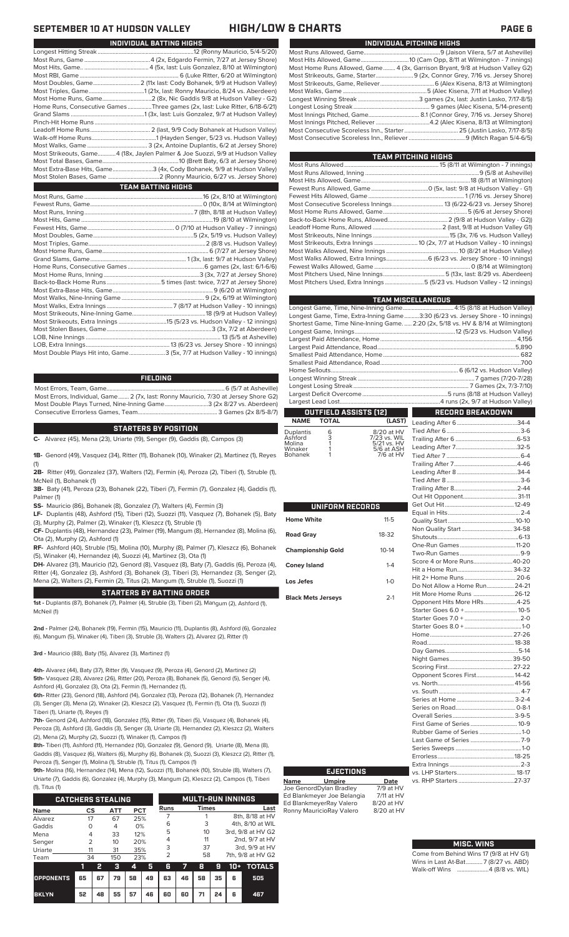| INDIVIDUAL PITCHING HIGHS                                                     |
|-------------------------------------------------------------------------------|
|                                                                               |
|                                                                               |
| Most Home Runs Allowed, Game 4 (3x, Garrison Bryant, 9/8 at Hudson Valley G2) |
|                                                                               |
|                                                                               |
|                                                                               |
|                                                                               |
|                                                                               |
|                                                                               |
|                                                                               |
|                                                                               |
|                                                                               |

| <b>TEAM PITCHING HIGHS</b>                                               |  |
|--------------------------------------------------------------------------|--|
|                                                                          |  |
|                                                                          |  |
|                                                                          |  |
|                                                                          |  |
|                                                                          |  |
| Most Consecutive Scoreless Innings 13 (6/22-6/23 vs. Jersey Shore)       |  |
|                                                                          |  |
|                                                                          |  |
|                                                                          |  |
|                                                                          |  |
|                                                                          |  |
|                                                                          |  |
| Most Walks Allowed, Extra Innings 6 (6/23 vs. Jersey Shore - 10 innings) |  |
|                                                                          |  |
|                                                                          |  |
| Most Pitchers Used, Extra Innings5 (5/23 vs. Hudson Valley - 12 innings) |  |

|                                                                                    | <b>TEAM MISCELLANEOUS</b> |
|------------------------------------------------------------------------------------|---------------------------|
|                                                                                    |                           |
| Longest Game, Time, Extra-Inning Game3:30 (6/23 vs. Jersey Shore - 10 innings)     |                           |
| Shortest Game, Time Nine-Inning Game.  2:20 (2x, 5/18 vs. HV & 8/14 at Wilmington) |                           |
|                                                                                    |                           |
|                                                                                    |                           |
|                                                                                    |                           |
|                                                                                    |                           |
|                                                                                    |                           |
|                                                                                    |                           |
|                                                                                    |                           |
|                                                                                    |                           |
|                                                                                    |                           |
|                                                                                    |                           |
| OUTFIELD ASSISTS [12]                                                              | RECORD BREAKDOWN          |

Tied After 6...

| OUTFIELD ASSISTS [12] |       |                                        |  |  |  |  |  |  |
|-----------------------|-------|----------------------------------------|--|--|--|--|--|--|
| NAME                  | TOTAL | (LAST)                                 |  |  |  |  |  |  |
| Duplantis             | 6     | 8/20 at HV<br>$\overline{\phantom{a}}$ |  |  |  |  |  |  |

| Ashford | 3 | 7/23 vs. WIL |
|---------|---|--------------|
| Molina  |   | 5/21 vs. HV  |
| Winaker |   | 5/6 at ASH   |
| Bohanek |   | 7/6 at HV    |
|         |   |              |

Bohane

| <b>UNIFORM RECORDS</b>    |              |
|---------------------------|--------------|
| Home White                | $11 - 5$     |
| <b>Road Grav</b>          | 18-32        |
| <b>Championship Gold</b>  | $10-14$      |
| <b>Coney Island</b>       | $1 - 4$      |
| Los Jefes                 | $1 - \Omega$ |
| <b>Black Mets Jerseys</b> | $2-1$        |

| Non Quality Start  34-58      |  |
|-------------------------------|--|
|                               |  |
|                               |  |
|                               |  |
| Score 4 or More Runs40-20     |  |
|                               |  |
| Hit 2+ Home Runs  20-6        |  |
| Do Not Allow a Home Run 24-21 |  |
| Hit More Home Runs  26-12     |  |
| Opponent Hits More HRs4-25    |  |
|                               |  |
|                               |  |
|                               |  |
|                               |  |
|                               |  |
|                               |  |
|                               |  |
|                               |  |
| Opponent Scores First 14-42   |  |
|                               |  |
|                               |  |
|                               |  |
|                               |  |
|                               |  |
| First Game of Series  10-9    |  |
| Rubber Game of Series 1-0     |  |
|                               |  |
|                               |  |
|                               |  |
|                               |  |
|                               |  |
|                               |  |
|                               |  |

Leading After 6........................................34-4

### **MISC. WINS**

| Come from Behind Wins 17 (9/8 at HV G1) |
|-----------------------------------------|
| Wins in Last At-Bat7 (8/27 vs. ABD)     |
| Walk-off Wins 4 (8/8 vs. WIL)           |

### **SEPTEMBER 10 AT HUDSON VALLEY HIGH/LOW & CHARTS PAGE 6**

| INDIVIDUAL BATTING HIGHS                                                      |
|-------------------------------------------------------------------------------|
|                                                                               |
|                                                                               |
|                                                                               |
|                                                                               |
|                                                                               |
|                                                                               |
| Home Runs, Consecutive Games Three games (2x, last: Luke Ritter, 6/18-6/21)   |
|                                                                               |
|                                                                               |
|                                                                               |
|                                                                               |
|                                                                               |
| Most Strikeouts, Game4 (18x, Jaylen Palmer & Joe Suozzi, 9/9 at Hudson Valley |
|                                                                               |
| Most Extra-Base Hits, Game3 (4x, Cody Bohanek, 9/9 at Hudson Valley)          |
| Most Stolen Bases, Game 2 (Ronny Mauricio, 6/27 vs. Jersey Shore)             |
| <b>TEAM BATTING HIGHS</b>                                                     |
|                                                                               |
|                                                                               |
|                                                                               |
|                                                                               |
|                                                                               |
|                                                                               |
|                                                                               |
|                                                                               |
|                                                                               |
|                                                                               |
|                                                                               |
|                                                                               |
|                                                                               |
|                                                                               |
|                                                                               |
|                                                                               |
|                                                                               |
|                                                                               |

LOB, Nine Innings .......................................................................................... 13 (5/5 at Asheville) LOB, Extra Innings........................................................13 (6/23 vs. Jersey Shore - 10 innings) Most Double Plays Hit into, Game........................3 (5x, 7/7 at Hudson Valley - 10 innings)

### **FIELDING**

Most Errors, Team, Game...............................................................................6 (5/7 at Asheville) Most Errors, Individual, Game....... 2 (7x, last: Ronny Mauricio, 7/30 at Jersey Shore G2) Most Double Plays Turned, Nine-Inning Game.............................3 (2x 8/27 vs. Aberdeen) Consecutive Errorless Games, Team...

### **STARTERS BY POSITION**

**C-** Alvarez (45), Mena (23), Uriarte (19), Senger (9), Gaddis (8), Campos (3)

**1B-** Genord (49), Vasquez (34), Ritter (11), Bohanek (10), Winaker (2), Martinez (1), Reyes (1)

**2B-** Ritter (49), Gonzalez (37), Walters (12), Fermin (4), Peroza (2), Tiberi (1), Struble (1), McNeil (1), Bohanek (1)

**3B-** Baty (41), Peroza (23), Bohanek (22), Tiberi (7), Fermin (7), Gonzalez (4), Gaddis (1), Palmer (1)

**SS-** Mauricio (86), Bohanek (8), Gonzalez (7), Walters (4), Fermin (3)

**LF-** Duplantis (48), Ashford (15), Tiberi (12), Suozzi (11), Vasquez (7), Bohanek (5), Baty (3), Murphy (2), Palmer (2), Winaker (1), Kleszcz (1), Struble (1)

**CF-** Duplantis (48), Hernandez (23), Palmer (19), Mangum (8), Hernandez (8), Molina (6), Ota (2), Murphy (2), Ashford (1)

**RF-** Ashford (40), Struble (15), Molina (10), Murphy (8), Palmer (7), Kleszcz (6), Bohanek (5), Winaker (4), Hernandez (4), Suozzi (4), Martinez (3), Ota (1)

**DH-** Alvarez (31), Mauricio (12), Genord (8), Vasquez (8), Baty (7), Gaddis (6), Peroza (4), Ritter (4), Gonzalez (3), Ashford (3), Bohanek (3), Tiberi (3), Hernandez (3), Senger (2), Mena (2), Walters (2), Fermin (2), Titus (2), Mangum (1), Struble (1), Suozzi (1)

### **STARTERS BY BATTING ORDER**

**1st -** Duplantis (87), Bohanek (7), Palmer (4), Struble (3), Tiberi (2), Mangum (2), Ashford (1), McNeil (1)

**2nd -** Palmer (24), Bohanek (19), Fermin (15), Mauricio (11), Duplantis (8), Ashford (6), Gonzalez (6), Mangum (5), Winaker (4), Tiberi (3), Struble (3), Walters (2), Alvarez (2), Ritter (1)

**3rd -** Mauricio (88), Baty (15), Alvarez (3), Martinez (1)

**4th-** Alvarez (44), Baty (37), Ritter (9), Vasquez (9), Peroza (4), Genord (2), Martinez (2) **5th-** Vasquez (28), Alvarez (26), Ritter (20), Peroza (8), Bohanek (5), Genord (5), Senger (4), Ashford (4), Gonzalez (3), Ota (2), Fermin (1), Hernandez (1),

**6th-** Ritter (23), Genord (18), Ashford (14), Gonzalez (13), Peroza (12), Bohanek (7), Hernandez (3), Senger (3), Mena (2), Winaker (2), Kleszcz (2), Vasquez (1), Fermin (1), Ota (1), Suozzi (1) Tiberi (1), Uriarte (1), Reyes (1)

**7th-** Genord (24), Ashford (18), Gonzalez (15), Ritter (9), Tiberi (5), Vasquez (4), Bohanek (4), Peroza (3), Ashford (3), Gaddis (3), Senger (3), Uriarte (3), Hernandez (2), Kleszcz (2), Walters (2), Mena (2), Murphy (2), Suozzi (1), Winaker (1), Campos (1)

**8th-** Tiberi (11), Ashford (11), Hernandez (10), Gonzalez (9), Genord (9), Uriarte (8), Mena (8), Gaddis (8), Vasquez (6), Walters (6), Murphy (6), Bohanek (3), Suozzi (3), Kleszcz (2), Ritter (1), Peroza (1), Senger (1), Molina (1), Struble (1), Titus (1), Campos (1)

**9th-** Molina (16), Hernandez (14), Mena (12), Suozzi (11), Bohanek (10), Struble (8), Walters (7), Uriarte (7), Gaddis (6), Gonzalez (4), Murphy (3), Mangum (2), Kleszcz (2), Campos (1), Tiberi  $(1)$ , Titus

| 11, 110311               |                |    |                          |            |    |                |    |              |    |                   |                   |  |  |
|--------------------------|----------------|----|--------------------------|------------|----|----------------|----|--------------|----|-------------------|-------------------|--|--|
| <b>CATCHERS STEALING</b> |                |    | <b>MULTI-RUN INNINGS</b> |            |    |                |    |              |    |                   |                   |  |  |
| <b>Name</b>              | CS             |    | <b>ATT</b>               | <b>PCT</b> |    | <b>Runs</b>    |    | <b>Times</b> |    | Last              |                   |  |  |
| Alvarez                  | 17             |    | 67                       | 25%        |    |                |    |              |    | 8th, 8/18 at HV   |                   |  |  |
| Gaddis                   | $\Omega$       |    | 4                        | 0%         |    | 6              |    | 3            |    | 4th, 8/10 at WIL  |                   |  |  |
| Mena                     | 4              |    | 33                       | 12%        |    | 5              |    | 10           |    | 3rd, 9/8 at HV G2 |                   |  |  |
| Senger                   | $\overline{2}$ |    | 10                       | 20%        |    | 4              |    | 11           |    |                   | 2nd, 9/7 at HV    |  |  |
| Uriarte                  | 11             |    | 31                       | 35%        |    | 3              |    | 37           |    |                   | 3rd, 9/9 at HV    |  |  |
| Team                     | 34             |    | 150                      | 23%        |    | $\overline{2}$ |    | 58           |    |                   | 7th, 9/8 at HV G2 |  |  |
|                          | 1              | 2  | з                        | 4          | 5  | 6              | 77 | 8            | 9  | $10+$             | <b>TOTALS</b>     |  |  |
| <b>OPPONENTS</b>         | 65             | 67 | 79                       | 58         | 49 | 63             | 46 | 58           | 35 | 6                 | 505               |  |  |
| <b>BKLYN</b>             | 52             | 48 | 55                       | 57         | 46 | 60             | 60 | 71           | 24 | 6                 | 467               |  |  |

# **Name Umpire Date** Joe GenordDylan Bradley 7/9 at HV **EJECTIONS**

Ed Blankmeyer Joe Belangia 7/11 at HV Ed BlankmeyerRay Valero 8/20 at HV<br>Ronny MauricioRay Valero 8/20 at HV Ronny MauricioRay Valero

| .                                |          |
|----------------------------------|----------|
| ie from Behind Wins 17 (9/8 at I |          |
| : in I ast Δt-Rat                | 7(8/27)y |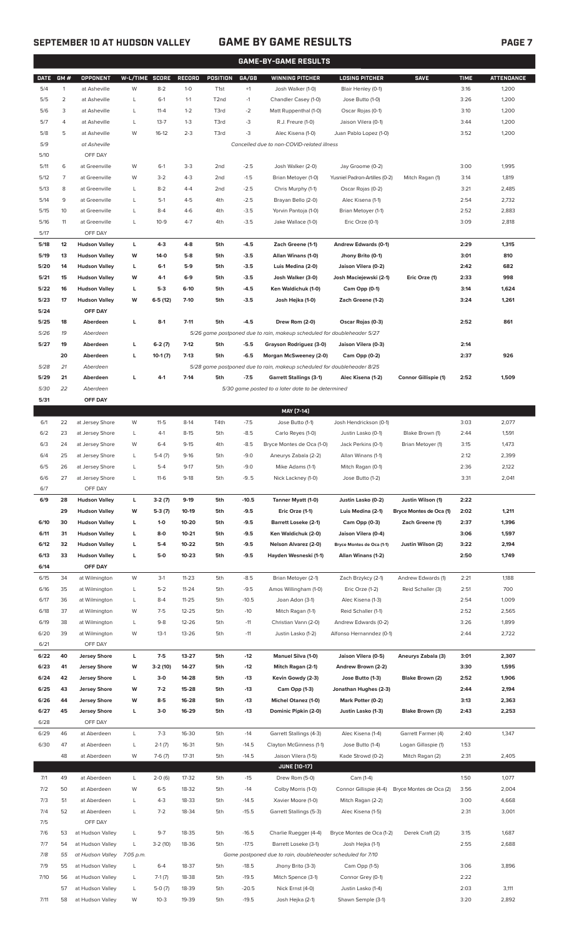# **SEPTEMBER 10 AT HUDSON VALLEY GAME BY GAME RESULTS PAGE 7**

|              | <b>GAME-BY-GAME RESULTS</b> |                                              |                |                      |                    |                   |                    |                                                                                                   |                                                   |                         |              |                   |
|--------------|-----------------------------|----------------------------------------------|----------------|----------------------|--------------------|-------------------|--------------------|---------------------------------------------------------------------------------------------------|---------------------------------------------------|-------------------------|--------------|-------------------|
| <b>DATE</b>  | GM#                         | <b>OPPONENT</b>                              | W-L/TIME SCORE |                      | <b>RECORD</b>      | POSITION          | GA/GB              | <b>WINNING PITCHER</b>                                                                            | <b>LOSING PITCHER</b>                             | <b>SAVE</b>             | <b>TIME</b>  | <b>ATTENDANCE</b> |
| 5/4          | $\mathbf{1}$                | at Asheville                                 | W              | $8 - 2$              | $1 - 0$            | T <sub>1st</sub>  | $+1$               | Josh Walker (1-0)                                                                                 | Blair Henley (0-1)                                |                         | 3:16         | 1,200             |
| 5/5          | $\overline{2}$              | at Asheville                                 | L              | $6-1$                | $1 - 1$            | T <sub>2</sub> nd | $-1$               | Chandler Casey (1-0)                                                                              | Jose Butto (1-0)                                  |                         | 3:26         | 1,200             |
| 5/6          | 3                           | at Asheville                                 | L              | $11 - 4$             | $1 - 2$            | T3rd              | $-2$               | Matt Ruppenthal (1-0)                                                                             | Oscar Rojas (0-1)                                 |                         | 3:10         | 1,200             |
| 5/7          | 4                           | at Asheville                                 | L              | $13 - 7$             | $1 - 3$            | T3rd              | -3                 | R.J. Freure (1-0)                                                                                 | Jaison Vilera (0-1)                               |                         | 3:44         | 1,200             |
| 5/8          | 5                           | at Asheville                                 | W              | $16-12$              | $2 - 3$            | T3rd              | -3                 | Alec Kisena (1-0)                                                                                 | Juan Pablo Lopez (1-0)                            |                         | 3:52         | 1,200             |
| 5/9          |                             | at Asheville                                 |                |                      |                    |                   |                    | Cancelled due to non-COVID-related illness                                                        |                                                   |                         |              |                   |
| 5/10         |                             | OFF DAY                                      |                |                      |                    |                   |                    |                                                                                                   |                                                   |                         |              |                   |
| 5/11         | 6<br>7                      | at Greenville                                | W<br>W         | $6-1$<br>$3-2$       | $3 - 3$<br>$4 - 3$ | 2nd<br>2nd        | $-2.5$             | Josh Walker (2-0)                                                                                 | Jay Groome (0-2)<br>Yusniel Padron-Artilles (0-2) |                         | 3:00<br>3:14 | 1,995             |
| 5/12<br>5/13 | 8                           | at Greenville<br>at Greenville               | L              | $8 - 2$              | $4 - 4$            | 2nd               | $-1.5$<br>$-2.5$   | Brian Metoyer (1-0)<br>Chris Murphy (1-1)                                                         | Oscar Rojas (0-2)                                 | Mitch Ragan (1)         | 3:21         | 1,819<br>2,485    |
| 5/14         | 9                           | at Greenville                                | L              | $5-1$                | $4 - 5$            | 4th               | $-2.5$             | Brayan Bello (2-0)                                                                                | Alec Kisena (1-1)                                 |                         | 2:54         | 2,732             |
| 5/15         | 10                          | at Greenville                                | L              | $8 - 4$              | $4-6$              | 4th               | $-3.5$             | Yorvin Pantoja (1-0)                                                                              | Brian Metoyer (1-1)                               |                         | 2:52         | 2,883             |
| 5/16         | 11                          | at Greenville                                | L              | $10-9$               | $4 - 7$            | 4th               | $-3.5$             | Jake Wallace (1-0)                                                                                | Eric Orze (0-1)                                   |                         | 3:09         | 2,818             |
| 5/17         |                             | OFF DAY                                      |                |                      |                    |                   |                    |                                                                                                   |                                                   |                         |              |                   |
| 5/18         | 12                          | <b>Hudson Valley</b>                         | L              | $4-3$                | $4 - 8$            | 5th               | $-4.5$             | Zach Greene (1-1)                                                                                 | Andrew Edwards (0-1)                              |                         | 2:29         | 1,315             |
| 5/19         | 13                          | <b>Hudson Valley</b>                         | W              | $14-0$               | $5-8$              | 5th               | $-3.5$             | Allan Winans (1-0)                                                                                | Jhony Brito (0-1)                                 |                         | 3:01         | 810               |
| 5/20         | 14                          | <b>Hudson Valley</b>                         | L              | $6-1$                | $5-9$              | 5th               | $-3.5$             | Luis Medina (2-0)                                                                                 | Jaison Vilera (0-2)                               |                         | 2:42         | 682               |
| 5/21         | 15                          | <b>Hudson Valley</b>                         | W              | 4-1                  | $6-9$              | 5th               | $-3.5$             | Josh Walker (3-0)                                                                                 | Josh Maciejewski (2-1)                            | Eric Orze (1)           | 2:33         | 998               |
| 5/22         | 16                          | <b>Hudson Valley</b>                         | г              | $5-3$                | $6-10$             | 5th               | $-4.5$             | Ken Waldichuk (1-0)                                                                               | Cam Opp (0-1)                                     |                         | 3:14         | 1,624             |
| 5/23         | 17                          | <b>Hudson Valley</b>                         | W              | $6-5(12)$            | $7-10$             | 5th               | $-3.5$             | Josh Hejka (1-0)                                                                                  | Zach Greene (1-2)                                 |                         | 3:24         | 1,261             |
| 5/24         |                             | OFF DAY                                      |                |                      |                    |                   |                    |                                                                                                   |                                                   |                         |              |                   |
| 5/25         | 18                          | Aberdeen                                     | L              | $8-1$                | $7 - 11$           | 5th               | $-4.5$             | Drew Rom (2-0)                                                                                    | Oscar Rojas (0-3)                                 |                         | 2:52         | 861               |
| 5/26         | 19                          | Aberdeen                                     |                |                      |                    |                   |                    | 5/26 game postponed due to rain, makeup scheduled for doubleheader 5/27                           |                                                   |                         |              |                   |
| 5/27         | 19                          | Aberdeen                                     | г              | $6-2(7)$             | $7-12$             | 5th               | $-5.5$             | Grayson Rodriguez (3-0)                                                                           | Jaison Vilera (0-3)                               |                         | 2:14         |                   |
| 5/28         | 20<br>21                    | Aberdeen<br>Aberdeen                         | L              | $10-1(7)$            | $7-13$             | 5th               | $-6.5$             | Morgan McSweeney (2-0)<br>5/28 game postponed due to rain, makeup scheduled for doubleheader 8/25 | Cam Opp (0-2)                                     |                         | 2:37         | 926               |
| 5/29         | 21                          | Aberdeen                                     | г              | $4-1$                | $7-14$             | 5th               | $-7.5$             | <b>Garrett Stallings (3-1)</b>                                                                    | Alec Kisena (1-2)                                 | Connor Gillispie (1)    | 2:52         | 1,509             |
| 5/30         | 22                          | Aberdeen                                     |                |                      |                    |                   |                    | 5/30 game posted to a later date to be determined                                                 |                                                   |                         |              |                   |
| 5/31         |                             | OFF DAY                                      |                |                      |                    |                   |                    |                                                                                                   |                                                   |                         |              |                   |
|              |                             |                                              |                |                      |                    |                   |                    | MAY [7-14]                                                                                        |                                                   |                         |              |                   |
| 6/1          | 22                          | at Jersey Shore                              | W              | $11-5$               | $8-14$             | T4th              | $-7.5$             | Jose Butto (1-1)                                                                                  | Josh Hendrickson (0-1)                            |                         | 3:03         | 2,077             |
| 6/2          | 23                          | at Jersey Shore                              | L              | $4-1$                | $8 - 15$           | 5th               | $-8.5$             | Carlo Reyes (1-0)                                                                                 | Justin Lasko (0-1)                                | Blake Brown (1)         | 2:44         | 1,591             |
| 6/3          | 24                          | at Jersey Shore                              | W              | $6 - 4$              | $9 - 15$           | 4th               | $-8.5$             | Bryce Montes de Oca (1-0)                                                                         | Jack Perkins (0-1)                                | Brian Metoyer (1)       | 3:15         | 1,473             |
| 6/4          | 25                          | at Jersey Shore                              | L              | $5-4(7)$             | $9-16$             | 5th               | $-9.0$             | Aneurys Zabala (2-2)                                                                              | Allan Winans (1-1)                                |                         | 2:12         | 2,399             |
| 6/5          | 26                          | at Jersey Shore                              | L              | $5 - 4$              | $9-17$             | 5th               | $-9.0$             | Mike Adams (1-1)                                                                                  | Mitch Ragan (0-1)                                 |                         | 2:36         | 2,122             |
| 6/6          | 27                          | at Jersey Shore                              |                | $11-6$               | $9-18$             | 5th               | $-9.5$             | Nick Lackney (1-0)                                                                                | Jose Butto (1-2)                                  |                         | 3:31         | 2,041             |
| 6/7          |                             | OFF DAY                                      |                |                      |                    |                   |                    |                                                                                                   |                                                   |                         |              |                   |
| 6/9          | 28                          | <b>Hudson Valley</b>                         | L              | $3-2(7)$             | $9-19$             | 5th               | $-10.5$            | Tanner Myatt (1-0)                                                                                | Justin Lasko (0-2)                                | Justin Wilson (1)       | 2:22         |                   |
|              | 29                          | <b>Hudson Valley</b>                         | W              | $5-3(7)$             | 10-19              | 5th               | $-9.5$             | Eric Orze (1-1)                                                                                   | Luis Medina (2-1)                                 | Bryce Montes de Oca (1) | 2:02         | 1,211             |
| 6/10         | 30                          | <b>Hudson Valley</b>                         | г              | $1-0$                | 10-20              | 5th               | $-9.5$             | <b>Barrett Loseke (2-1)</b>                                                                       | Cam Opp (0-3)                                     | Zach Greene (1)         | 2:37         | 1,396             |
| 6/11<br>6/12 | 31<br>32                    | <b>Hudson Valley</b><br><b>Hudson Valley</b> | г<br>г         | $8-0$<br>$5-4$       | $10 - 21$<br>10-22 | 5th<br>5th        | $-9.5$<br>$-9.5$   | Ken Waldichuk (2-0)<br><b>Nelson Alvarez (2-0)</b>                                                | Jaison Vilera (0-4)<br>Bryce Montes de Oca (1-1)  | Justin Wilson (2)       | 3:06<br>3:22 | 1,597<br>2,194    |
| 6/13         | 33                          | <b>Hudson Valley</b>                         | г              | 5-0                  | $10 - 23$          | 5th               | $-9.5$             | Hayden Wesneski (1-1)                                                                             | Allan Winans (1-2)                                |                         | 2:50         | 1,749             |
| 6/14         |                             | OFF DAY                                      |                |                      |                    |                   |                    |                                                                                                   |                                                   |                         |              |                   |
| 6/15         | 34                          | at Wilmington                                | W              | $3-1$                | $11 - 23$          | 5th               | $-8.5$             | Brian Metoyer (2-1)                                                                               | Zach Brzykcy (2-1)                                | Andrew Edwards (1)      | 2:21         | 1,188             |
| 6/16         | 35                          | at Wilmington                                | L              | $5 - 2$              | $11 - 24$          | 5th               | $-9.5$             | Amos Willingham (1-0)                                                                             | Eric Orze (1-2)                                   | Reid Schaller (3)       | 2:51         | 700               |
| 6/17         | 36                          | at Wilmington                                | L              | $8 - 4$              | $11 - 25$          | 5th               | $-10.5$            | Joan Adon (3-1)                                                                                   | Alec Kisena (1-3)                                 |                         | 2:54         | 1,009             |
| 6/18         | 37                          | at Wilmington                                | W              | $7-5$                | 12-25              | 5th               | $-10$              | Mitch Ragan (1-1)                                                                                 | Reid Schaller (1-1)                               |                         | 2:52         | 2,565             |
| 6/19         | 38                          | at Wilmington                                | L              | $9 - 8$              | 12-26              | 5th               | $-11$              | Christian Vann (2-0)                                                                              | Andrew Edwards (0-2)                              |                         | 3:26         | 1,899             |
| 6/20         | 39                          | at Wilmington                                | W              | $13-1$               | 13-26              | 5th               | $-11$              | Justin Lasko (1-2)                                                                                | Alfonso Hernanndez (0-1)                          |                         | 2:44         | 2,722             |
| 6/21         |                             | OFF DAY                                      |                |                      |                    |                   |                    |                                                                                                   |                                                   |                         |              |                   |
| 6/22         | 40                          | <b>Jersey Shore</b>                          | г              | $7-5$                | 13-27              | 5th               | $-12$              | Manuel Silva (1-0)                                                                                | Jaison Vilera (0-5)                               | Aneurys Zabala (3)      | 3:01         | 2,307             |
| 6/23         | 41                          | <b>Jersey Shore</b>                          | W              | 3-2 (10)             | 14-27              | 5th               | $-12$              | Mitch Ragan (2-1)                                                                                 | Andrew Brown (2-2)                                |                         | 3:30         | 1,595             |
| 6/24         | 42                          | <b>Jersey Shore</b>                          | г              | $3-0$                | 14-28              | 5th               | $-13$              | Kevin Gowdy (2-3)                                                                                 | Jose Butto (1-3)                                  | Blake Brown (2)         | 2:52         | 1,906             |
| 6/25         | 43                          | <b>Jersey Shore</b>                          | W              | $7-2$                | 15-28              | 5th               | $-13$              | Cam Opp (1-3)                                                                                     | Jonathan Hughes (2-3)                             |                         | 2:44         | 2,194             |
| 6/26         | 44                          | <b>Jersey Shore</b>                          | W              | $8-5$<br>$3-0$       | 16-28              | 5th               | $-13$<br>$-13$     | <b>Michel Otanez (1-0)</b>                                                                        | Mark Potter (0-2)                                 |                         | 3:13         | 2,363             |
| 6/27<br>6/28 | 45                          | <b>Jersey Shore</b><br>OFF DAY               | г              |                      | 16-29              | 5th               |                    | Dominic Pipkin (2-0)                                                                              | Justin Lasko (1-3)                                | Blake Brown (3)         | 2:43         | 2,253             |
| 6/29         | 46                          | at Aberdeen                                  | L              | $7-3$                | 16-30              | 5th               | $-14$              | Garrett Stallings (4-3)                                                                           | Alec Kisena (1-4)                                 | Garrett Farmer (4)      | 2:40         | 1,347             |
| 6/30         | 47                          | at Aberdeen                                  | L              | $2-1(7)$             | 16-31              | 5th               | $-14.5$            | Clayton McGinness (1-1)                                                                           | Jose Butto (1-4)                                  | Logan Gillaspie (1)     | 1:53         |                   |
|              | 48                          | at Aberdeen                                  | W              | $7-6(7)$             | 17-31              | 5th               | $-14.5$            | Jaison Vilera (1-5)                                                                               | Kade Strowd (0-2)                                 | Mitch Ragan (2)         | 2:31         | 2,405             |
|              |                             |                                              |                |                      |                    |                   |                    | <b>JUNE (10-17)</b>                                                                               |                                                   |                         |              |                   |
| 7/1          | 49                          | at Aberdeen                                  | L              | $2-0(6)$             | 17-32              | 5th               | $-15$              | Drew Rom (5-0)                                                                                    | Cam (1-4)                                         |                         | 1:50         | 1,077             |
| 7/2          | 50                          | at Aberdeen                                  | W              | $6 - 5$              | 18-32              | 5th               | $-14$              | Colby Morris (1-0)                                                                                | Connor Gillispie (4-4)                            | Bryce Montes de Oca (2) | 3:56         | 2,004             |
| 7/3          | 51                          | at Aberdeen                                  | L              | 4-3                  | 18-33              | 5th               | $-14.5$            | Xavier Moore (1-0)                                                                                | Mitch Ragan (2-2)                                 |                         | 3:00         | 4,668             |
| 7/4          | 52                          | at Aberdeen                                  | L              | $7 - 2$              | 18-34              | 5th               | $-15.5$            | Garrett Stallings (5-3)                                                                           | Alec Kisena (1-5)                                 |                         | 2:31         | 3,001             |
| 7/5          |                             | OFF DAY                                      |                |                      |                    |                   |                    |                                                                                                   |                                                   |                         |              |                   |
| 7/6          | 53                          | at Hudson Valley                             | L              | $9 - 7$              | 18-35              | 5th               | $-16.5$            | Charlie Ruegger (4-4)                                                                             | Bryce Montes de Oca (1-2)                         | Derek Craft (2)         | 3:15         | 1,687             |
| 7/7          | 54                          | at Hudson Valley                             | L              | $3-2(10)$            | 18-36              | 5th               | $-17.5$            | Barrett Loseke (3-1)                                                                              | Josh Hejka (1-1)                                  |                         | 2:55         | 2,688             |
| 7/8          | 55                          | at Hudson Valley                             | 7:05 p.m.      |                      |                    |                   |                    | Game postponed due to rain, doubleheader scheduled for 7/10                                       |                                                   |                         |              |                   |
| 7/9<br>7/10  | 55                          | at Hudson Valley                             | L              | $6 - 4$              | 18-37              | 5th               | $-18.5$<br>$-19.5$ | Jhony Brito (3-3)                                                                                 | Cam Opp (1-5)                                     |                         | 3:06         | 3,896             |
|              | 56<br>57                    | at Hudson Valley<br>at Hudson Valley         | L<br>L         | $7-1(7)$<br>$5-0(7)$ | 18-38<br>18-39     | 5th<br>5th        | $-20.5$            | Mitch Spence (3-1)<br>Nick Ernst (4-0)                                                            | Connor Grey (0-1)<br>Justin Lasko (1-4)           |                         | 2:22<br>2:03 | 3,111             |

7/11 58 at Hudson Valley W 10-3 19-39 5th -19.5 Josh Hejka (2-1) Shawn Semple (3-1) 3:20 2,892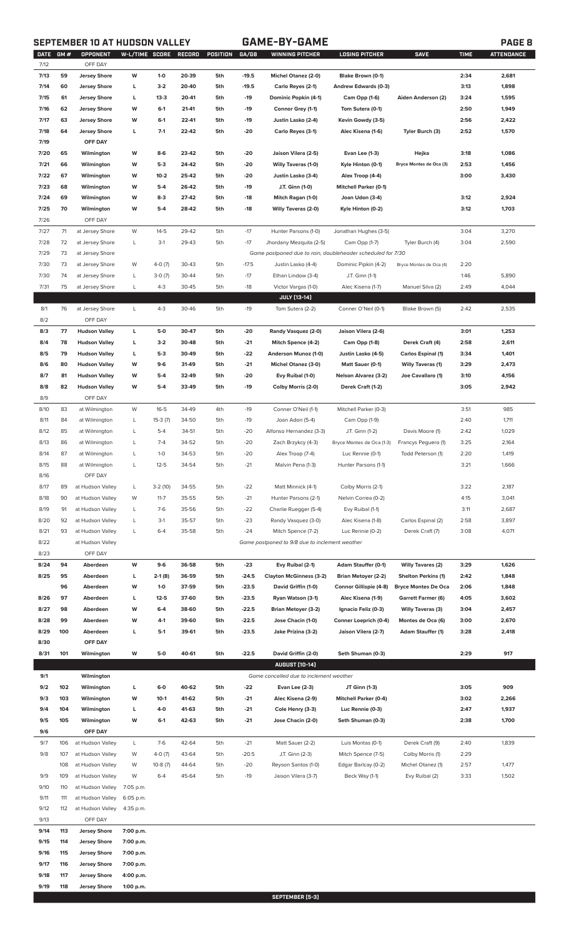# **SEPTEMBER 10 AT HUDSON VALLEY GAME-BY-GAME PAGE 8**

| DATE<br>7/12 | GM#                                                   | OPPONENT<br>OFF DAY  | W-L/TIME SCORE |           | RECORD | POSITION | GA/GB   | <b>WINNING PITCHER</b>                                      | <b>LOSING PITCHER</b>        | <b>SAVE</b>                | <b>TIME</b> | <b>ATTENDANCE</b> |
|--------------|-------------------------------------------------------|----------------------|----------------|-----------|--------|----------|---------|-------------------------------------------------------------|------------------------------|----------------------------|-------------|-------------------|
| 7/13         | 59                                                    | <b>Jersey Shore</b>  | W              | $1-0$     | 20-39  | 5th      | $-19.5$ | Michel Otanez (2-0)                                         | Blake Brown (0-1)            |                            | 2:34        | 2,681             |
|              | 60                                                    |                      | г              | $3-2$     | 20-40  | 5th      | $-19.5$ |                                                             |                              |                            | 3:13        | 1,898             |
| 7/14         |                                                       | Jersey Shore         |                |           |        |          |         | Carlo Reyes (2-1)                                           | Andrew Edwards (0-3)         |                            |             |                   |
| 7/15         | 61                                                    | <b>Jersey Shore</b>  | г              | $13 - 3$  | 20-41  | 5th      | $-19$   | Dominic Popkin (4-1)                                        | Cam Opp (1-6)                | Aiden Anderson (2)         | 3:24        | 1,595             |
| 7/16         | 62                                                    | <b>Jersey Shore</b>  | W              | $6-1$     | 21-41  | 5th      | $-19$   | Connor Grey (1-1)                                           | Tom Sutera (0-1)             |                            | 2:50        | 1,949             |
| 7/17         | 63                                                    | <b>Jersey Shore</b>  | W              | $6 - 1$   | 22-41  | 5th      | $-19$   | Justin Lasko (2-4)                                          | Kevin Gowdy (3-5)            |                            | 2:56        | 2,422             |
| 7/18         | 64                                                    | <b>Jersey Shore</b>  | г              | $7-1$     | 22-42  | 5th      | $-20$   | Carlo Reyes (3-1)                                           | Alec Kisena (1-6)            | Tyler Burch (3)            | 2:52        | 1,570             |
| 7/19         |                                                       | OFF DAY              |                |           |        |          |         |                                                             |                              |                            |             |                   |
| 7/20         | 65                                                    | Wilmington           | W              | 8-6       | 23-42  | 5th      | $-20$   | Jaison Vilera (2-5)                                         | Evan Lee (1-3)               | Hejka                      | 3:18        | 1,086             |
| 7/21         | 66                                                    | Wilmington           | W              | $5-3$     | 24-42  | 5th      | $-20$   | <b>Willy Taveras (1-0)</b>                                  | Kyle Hinton (0-1)            | Bryce Montes de Oca (3)    | 2:53        | 1,456             |
| 7/22         | 67                                                    | Wilmington           | W              | $10 - 2$  | 25-42  | 5th      | $-20$   | Justin Lasko (3-4)                                          | Alex Troop (4-4)             |                            | 3:00        | 3,430             |
| 7/23         | 68                                                    | Wilmington           | W              | $5-4$     | 26-42  | 5th      | $-19$   | J.T. Ginn (1-0)                                             | <b>Mitchell Parker (0-1)</b> |                            |             |                   |
| 7/24         | 69                                                    | Wilmington           | W              | $8-3$     | 27-42  | 5th      | $-18$   | Mitch Ragan (1-0)                                           | Joan Udon (3-4)              |                            | 3:12        | 2,924             |
| 7/25         | 70                                                    |                      | W              | $5-4$     | 28-42  | 5th      | $-18$   | <b>Willy Taveras (2-0)</b>                                  |                              |                            | 3:12        | 1,703             |
|              |                                                       | Wilmington           |                |           |        |          |         |                                                             | Kyle Hinton (0-2)            |                            |             |                   |
| 7/26         |                                                       | OFF DAY              |                |           |        |          |         |                                                             |                              |                            |             |                   |
| 7/27         | 71                                                    | at Jersey Shore      | W              | $14 - 5$  | 29-42  | 5th      | $-17$   | Hunter Parsons (1-0)                                        | Jonathan Hughes (3-5)        |                            | 3:04        | 3,270             |
| 7/28         | 72                                                    | at Jersey Shore      | L              | $3-1$     | 29-43  | 5th      | $-17$   | Jhordany Mezquita (2-5)                                     | Cam Opp (1-7)                | Tyler Burch (4)            | 3:04        | 2,590             |
| 7/29         | 73                                                    | at Jersey Shore      |                |           |        |          |         | Game postponed due to rain, doubleheader scheduled for 7/30 |                              |                            |             |                   |
| 7/30         | 73                                                    | at Jersey Shore      | W              | $4-0(7)$  | 30-43  | 5th      | $-17.5$ | Justin Lasko (4-4)                                          | Dominic Pipkin (4-2)         | Bryce Montes de Oca (4)    | 2:20        |                   |
| 7/30         | 74                                                    | at Jersey Shore      | L              | $3-0(7)$  | 30-44  | 5th      | $-17$   | Ethan Lindow (3-4)                                          | J.T. Ginn (1-1)              |                            | 1:46        | 5,890             |
| 7/31         | 75                                                    | at Jersey Shore      | L              | $4 - 3$   | 30-45  | 5th      | $-18$   | Victor Vargas (1-0)                                         | Alec Kisena (1-7)            | Manuel Silva (2)           | 2:49        | 4,044             |
|              |                                                       |                      |                |           |        |          |         | <b>JULY (13-14)</b>                                         |                              |                            |             |                   |
| 8/1          | 76                                                    | at Jersey Shore      | L              | $4 - 3$   | 30-46  | 5th      | $-19$   | Tom Sutera (2-2)                                            | Conner O'Neil (0-1)          | Blake Brown (5)            | 2:42        | 2,535             |
| 8/2          |                                                       | OFF DAY              |                |           |        |          |         |                                                             |                              |                            |             |                   |
| 8/3          | 77                                                    | <b>Hudson Valley</b> | L              | 5-0       | 30-47  | 5th      | $-20$   | Randy Vasquez (2-0)                                         | Jaison Vilera (2-6)          |                            | 3:01        | 1,253             |
| 8/4          | 78                                                    | <b>Hudson Valley</b> | L              | $3-2$     | 30-48  | 5th      | $-21$   | Mitch Spence (4-2)                                          |                              | Derek Craft (4)            | 2:58        | 2,611             |
|              |                                                       |                      |                |           |        |          |         |                                                             | Cam Opp (1-8)                |                            |             |                   |
| 8/5          | 79                                                    | <b>Hudson Valley</b> | г              | $5-3$     | 30-49  | 5th      | $-22$   | Anderson Munoz (1-0)                                        | Justin Lasko (4-5)           | Carlos Espinal (1)         | 3:34        | 1,401             |
| 8/6          | 80                                                    | <b>Hudson Valley</b> | W              | $9-6$     | 31-49  | 5th      | $-21$   | Michel Otanez (3-0)                                         | Matt Sauer (0-1)             | <b>Willy Taveras (1)</b>   | 3:29        | 2,473             |
| 8/7          | 81                                                    | <b>Hudson Valley</b> | W              | $5 - 4$   | 32-49  | 5th      | $-20$   | Evy Ruibal (1-0)                                            | Nelson Alvarez (3-2)         | Joe Cavallaro (1)          | 3:10        | 4,156             |
| 8/8          | 82                                                    | <b>Hudson Valley</b> | W              | $5 - 4$   | 33-49  | 5th      | $-19$   | Colby Morris (2-0)                                          | Derek Craft (1-2)            |                            | 3:05        | 2,942             |
| 8/9          |                                                       | OFF DAY              |                |           |        |          |         |                                                             |                              |                            |             |                   |
| 8/10         | 83                                                    | at Wilmington        | W              | $16 - 5$  | 34-49  | 4th      | $-19$   | Conner O'Neil (1-1)                                         | Mitchell Parker (0-3)        |                            | 3:51        | 985               |
| 8/11         | 84                                                    | at Wilmington        | L              | $15-3(7)$ | 34-50  | 5th      | $-19$   | Joan Adon (5-4)                                             | Cam Opp (1-9)                |                            | 2:40        | 1,711             |
| 8/12         | 85                                                    | at Wilmington        | L              | $5-4$     | 34-51  | 5th      | $-20$   | Alfonso Hernandez (3-3)                                     | J.T. Ginn (1-2)              | Davis Moore (1)            | 2:42        | 1,029             |
| 8/13         | 86                                                    | at Wilmington        | L              | $7-4$     | 34-52  | 5th      | $-20$   | Zach Brzykcy (4-3)                                          | Bryce Montes de Oca (1-3)    | Francys Peguero (1)        | 3:25        | 2,164             |
| 8/14         | 87                                                    | at Wilmington        | L              | $1-0$     | 34-53  | 5th      | $-20$   | Alex Troop (7-4)                                            | Luc Rennie (0-1)             | Todd Peterson (1)          | 2:20        | 1,419             |
| 8/15         | 88                                                    | at Wilmington        | L              | $12 - 5$  | 34-54  | 5th      | $-21$   | Malvin Pena (1-3)                                           | Hunter Parsons (1-1)         |                            | 3:21        | 1,666             |
|              |                                                       | OFF DAY              |                |           |        |          |         |                                                             |                              |                            |             |                   |
| 8/16         |                                                       |                      |                |           |        |          |         |                                                             |                              |                            |             |                   |
| 8/17         | 89                                                    | at Hudson Valley     | L              | $3-2(10)$ | 34-55  | 5th      | $-22$   | Matt Minnick (4-1)                                          | Colby Morris (2-1)           |                            | 3:22        | 2,187             |
| 8/18         | 90                                                    | at Hudson Valley     | W              | $11 - 7$  | 35-55  | 5th      | $-21$   | Hunter Parsons (2-1)                                        | Nelvin Correa (0-2)          |                            | 4:15        | 3,041             |
| 8/19         | 91                                                    | at Hudson Valley     | L              | $7-6$     | 35-56  | 5th      | $-22$   | Charlie Ruegger (5-4)                                       | Evy Ruibal (1-1)             |                            | 3:11        | 2,687             |
| 8/20         | 92                                                    | at Hudson Valley     | L              | $3-1$     | 35-57  | 5th      | $-23$   | Randy Vasquez (3-0)                                         | Alec Kisena (1-8)            | Carlos Espinal (2)         | 2:58        | 3,897             |
| 8/21         | 93                                                    | at Hudson Valley     | L              | $6 - 4$   | 35-58  | 5th      | $-24$   | Mitch Spence (7-2)                                          | Luc Rennie (0-2)             | Derek Craft (7)            | 3:08        | 4,071             |
| 8/22         |                                                       | at Hudson Valley     |                |           |        |          |         | Game postponed to 9/8 due to inclement weather              |                              |                            |             |                   |
| 8/23         |                                                       | OFF DAY              |                |           |        |          |         |                                                             |                              |                            |             |                   |
| 8/24         | 94                                                    | Aberdeen             | W              | $9-6$     | 36-58  | 5th      | $-23$   | Evy Ruibal (2-1)                                            | Adam Stauffer (0-1)          | <b>Willy Tavares (2)</b>   | 3:29        | 1,626             |
| 8/25         | 95                                                    | Aberdeen             | L              | $2-1(8)$  | 36-59  | 5th      | $-24.5$ | <b>Clayton McGinness (3-2)</b>                              | <b>Brian Metoyer (2-2)</b>   | <b>Shelton Perkins (1)</b> | 2:42        | 1,848             |
|              | 96                                                    | Aberdeen             | W              | $1-0$     | 37-59  | 5th      | $-23.5$ | David Griffin (1-0)                                         | Connor Gillispie (4-8)       | <b>Bryce Montes De Oca</b> | 2:06        | 1,848             |
| 8/26         | 97                                                    | Aberdeen             | L              | $12 - 5$  | 37-60  | 5th      | $-23.5$ | Ryan Watson (3-1)                                           | Alec Kisena (1-9)            | <b>Garrett Farmer (6)</b>  | 4:05        | 3,602             |
| 8/27         | 98                                                    | Aberdeen             | W              | $6 - 4$   | 38-60  | 5th      | $-22.5$ | <b>Brian Metoyer (3-2)</b>                                  | Ignacio Feliz (0-3)          | <b>Willy Taveras (3)</b>   | 3:04        | 2,457             |
|              |                                                       |                      |                |           |        |          |         |                                                             |                              |                            |             |                   |
| 8/28         | 99                                                    | Aberdeen             | W              | $4-1$     | 39-60  | 5th      | $-22.5$ | Jose Chacin (1-0)                                           | Conner Loeprich (0-4)        | Montes de Oca (6)          | 3:00        | 2,670             |
| 8/29         | 100                                                   | Aberdeen             | г              | $5-1$     | 39-61  | 5th      | $-23.5$ | Jake Prizina (3-2)                                          | Jaison Vilera (2-7)          | <b>Adam Stauffer (1)</b>   | 3:28        | 2,418             |
| 8/30         |                                                       | OFF DAY              |                |           |        |          |         |                                                             |                              |                            |             |                   |
| 8/31         | 101                                                   | Wilmington           | W              | $5-0$     | 40-61  | 5th      | $-22.5$ | David Griffin (2-0)                                         | Seth Shuman (0-3)            |                            | 2:29        | 917               |
|              |                                                       |                      |                |           |        |          |         | <b>AUGUST [10-14]</b>                                       |                              |                            |             |                   |
| 9/1          | Wilmington<br>Game cancelled due to inclement weather |                      |                |           |        |          |         |                                                             |                              |                            |             |                   |
| 9/2          | 102                                                   | Wilmington           | г              | $6-0$     | 40-62  | 5th      | $-22$   | <b>Evan Lee (2-3)</b>                                       | JT Ginn (1-3)                |                            | 3:05        | 909               |
| 9/3          | 103                                                   | Wilmington           | W              | $10-1$    | 41-62  | 5th      | $-21$   | Alec Kisena (2-9)                                           | <b>Mitchell Parker (0-4)</b> |                            | 3:02        | 2,266             |
| 9/4          | 104                                                   | Wilmington           | г              | 4-0       | 41-63  | 5th      | $-21$   | Cole Henry (3-3)                                            | Luc Rennie (0-3)             |                            | 2:47        | 1,937             |
| 9/5          | 105                                                   | Wilmington           | W              | $6-1$     | 42-63  | 5th      | $-21$   | Jose Chacin (2-0)                                           | Seth Shuman (0-3)            |                            | 2:38        | 1,700             |
| 9/6          |                                                       | OFF DAY              |                |           |        |          |         |                                                             |                              |                            |             |                   |
| 9/7          | 106                                                   | at Hudson Valley     | L              | $7-6$     | 42-64  | 5th      | $-21$   | Matt Sauer (2-2)                                            | Luis Montas (0-1)            | Derek Craft (9)            | 2:40        | 1,839             |
| 9/8          | 107                                                   | at Hudson Valley     | W              | $4-0(7)$  | 43-64  | 5th      | $-20.5$ | J.T. Ginn (2-3)                                             | Mitch Spence (7-5)           | Colby Morris (1)           | 2:29        |                   |
|              |                                                       |                      |                |           |        |          |         |                                                             |                              |                            |             |                   |
|              | 108                                                   | at Hudson Valley     | W              | $10-8(7)$ | 44-64  | 5th      | $-20$   | Reyson Santos (1-0)                                         | Edgar Barlcay (0-2)          | Michel Otanez (1)          | 2:57        | 1,477             |
| 9/9          | 109                                                   | at Hudson Valley     | W              | $6 - 4$   | 45-64  | 5th      | $-19$   | Jaison Vilera (3-7)                                         | Beck Way (1-1)               | Evy Ruibal (2)             | 3:33        | 1,502             |
| 9/10         | 110                                                   | at Hudson Valley     | 7:05 p.m.      |           |        |          |         |                                                             |                              |                            |             |                   |
| 9/11         | 111                                                   | at Hudson Valley     | 6:05 p.m.      |           |        |          |         |                                                             |                              |                            |             |                   |
| 9/12         | 112                                                   | at Hudson Valley     | 4:35 p.m.      |           |        |          |         |                                                             |                              |                            |             |                   |
| 9/13         |                                                       | OFF DAY              |                |           |        |          |         |                                                             |                              |                            |             |                   |
| 9/14         | 113                                                   | <b>Jersey Shore</b>  | 7:00 p.m.      |           |        |          |         |                                                             |                              |                            |             |                   |
| 9/15         | 114                                                   | <b>Jersey Shore</b>  | 7:00 p.m.      |           |        |          |         |                                                             |                              |                            |             |                   |
| 9/16         | 115                                                   | <b>Jersey Shore</b>  | 7:00 p.m.      |           |        |          |         |                                                             |                              |                            |             |                   |
| 9/17         | 116                                                   | <b>Jersey Shore</b>  | 7:00 p.m.      |           |        |          |         |                                                             |                              |                            |             |                   |
| 9/18         | 117                                                   | <b>Jersey Shore</b>  | 4:00 p.m.      |           |        |          |         |                                                             |                              |                            |             |                   |
| 9/19         | 118                                                   | <b>Jersey Shore</b>  | 1:00 p.m.      |           |        |          |         |                                                             |                              |                            |             |                   |
|              |                                                       |                      |                |           |        |          |         | SEPTEMBER [5-3]                                             |                              |                            |             |                   |